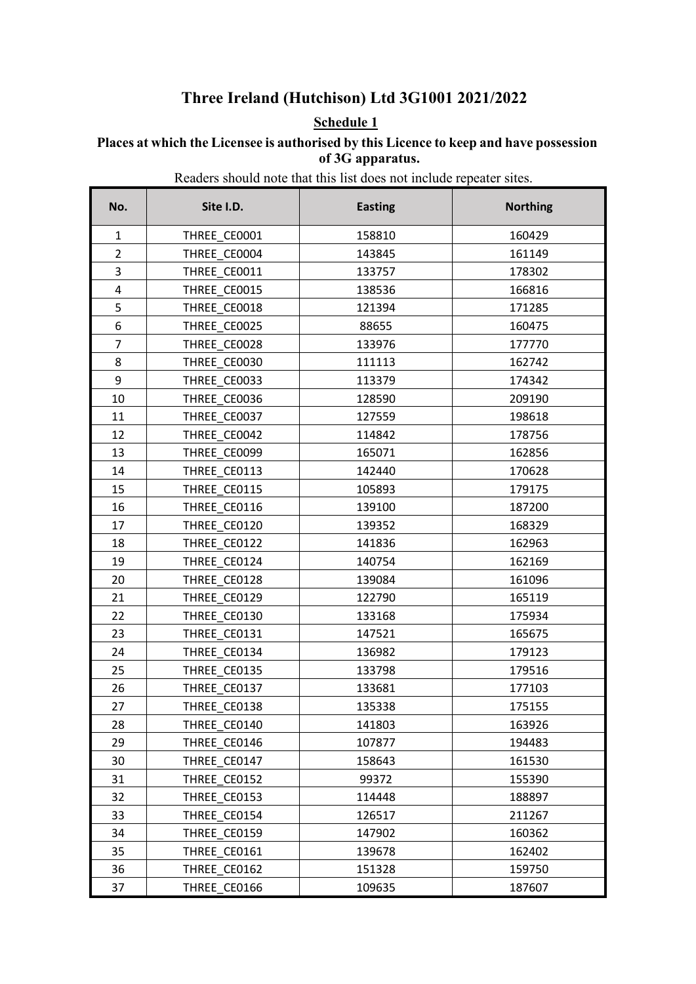## **Three Ireland (Hutchison) Ltd 3G1001 2021/2022**

## **Schedule 1**

**Places at which the Licensee is authorised by this Licence to keep and have possession of 3G apparatus.**

Readers should note that this list does not include repeater sites.

| No.            | Site I.D.    | <b>Easting</b> | <b>Northing</b> |
|----------------|--------------|----------------|-----------------|
| $\mathbf{1}$   | THREE CE0001 | 158810         | 160429          |
| $\overline{2}$ | THREE CE0004 | 143845         | 161149          |
| 3              | THREE CE0011 | 133757         | 178302          |
| 4              | THREE CE0015 | 138536         | 166816          |
| 5              | THREE CE0018 | 121394         | 171285          |
| 6              | THREE CE0025 | 88655          | 160475          |
| $\overline{7}$ | THREE CE0028 | 133976         | 177770          |
| 8              | THREE CE0030 | 111113         | 162742          |
| 9              | THREE CE0033 | 113379         | 174342          |
| 10             | THREE CE0036 | 128590         | 209190          |
| 11             | THREE CE0037 | 127559         | 198618          |
| 12             | THREE CE0042 | 114842         | 178756          |
| 13             | THREE CE0099 | 165071         | 162856          |
| 14             | THREE CE0113 | 142440         | 170628          |
| 15             | THREE CE0115 | 105893         | 179175          |
| 16             | THREE CE0116 | 139100         | 187200          |
| 17             | THREE CE0120 | 139352         | 168329          |
| 18             | THREE CE0122 | 141836         | 162963          |
| 19             | THREE CE0124 | 140754         | 162169          |
| 20             | THREE CE0128 | 139084         | 161096          |
| 21             | THREE_CE0129 | 122790         | 165119          |
| 22             | THREE CE0130 | 133168         | 175934          |
| 23             | THREE CE0131 | 147521         | 165675          |
| 24             | THREE CE0134 | 136982         | 179123          |
| 25             | THREE CE0135 | 133798         | 179516          |
| 26             | THREE CE0137 | 133681         | 177103          |
| 27             | THREE CE0138 | 135338         | 175155          |
| 28             | THREE CE0140 | 141803         | 163926          |
| 29             | THREE CE0146 | 107877         | 194483          |
| 30             | THREE CE0147 | 158643         | 161530          |
| 31             | THREE CE0152 | 99372          | 155390          |
| 32             | THREE CE0153 | 114448         | 188897          |
| 33             | THREE CE0154 | 126517         | 211267          |
| 34             | THREE CE0159 | 147902         | 160362          |
| 35             | THREE CE0161 | 139678         | 162402          |
| 36             | THREE CE0162 | 151328         | 159750          |
| 37             | THREE CE0166 | 109635         | 187607          |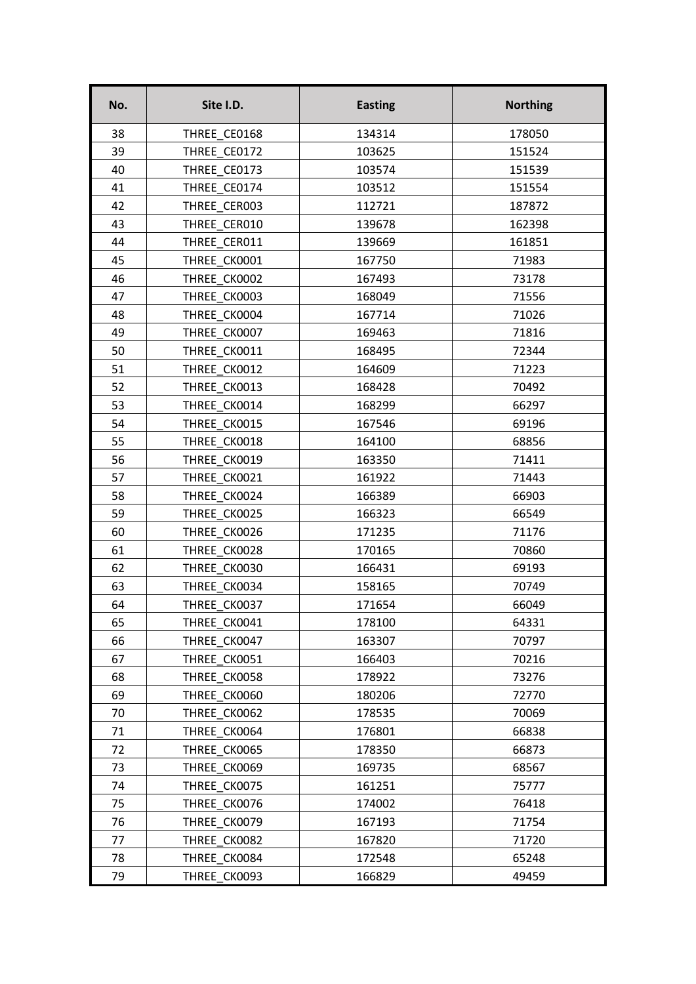| No. | Site I.D.    | <b>Easting</b> | <b>Northing</b> |
|-----|--------------|----------------|-----------------|
| 38  | THREE CE0168 | 134314         | 178050          |
| 39  | THREE CE0172 | 103625         | 151524          |
| 40  | THREE CE0173 | 103574         | 151539          |
| 41  | THREE CE0174 | 103512         | 151554          |
| 42  | THREE CER003 | 112721         | 187872          |
| 43  | THREE_CER010 | 139678         | 162398          |
| 44  | THREE CER011 | 139669         | 161851          |
| 45  | THREE CK0001 | 167750         | 71983           |
| 46  | THREE CK0002 | 167493         | 73178           |
| 47  | THREE CK0003 | 168049         | 71556           |
| 48  | THREE CK0004 | 167714         | 71026           |
| 49  | THREE CK0007 | 169463         | 71816           |
| 50  | THREE CK0011 | 168495         | 72344           |
| 51  | THREE CK0012 | 164609         | 71223           |
| 52  | THREE CK0013 | 168428         | 70492           |
| 53  | THREE CK0014 | 168299         | 66297           |
| 54  | THREE CK0015 | 167546         | 69196           |
| 55  | THREE CK0018 | 164100         | 68856           |
| 56  | THREE CK0019 | 163350         | 71411           |
| 57  | THREE CK0021 | 161922         | 71443           |
| 58  | THREE CK0024 | 166389         | 66903           |
| 59  | THREE CK0025 | 166323         | 66549           |
| 60  | THREE CK0026 | 171235         | 71176           |
| 61  | THREE CK0028 | 170165         | 70860           |
| 62  | THREE CK0030 | 166431         | 69193           |
| 63  | THREE CK0034 | 158165         | 70749           |
| 64  | THREE_CK0037 | 171654         | 66049           |
| 65  | THREE CK0041 | 178100         | 64331           |
| 66  | THREE CK0047 | 163307         | 70797           |
| 67  | THREE CK0051 | 166403         | 70216           |
| 68  | THREE CK0058 | 178922         | 73276           |
| 69  | THREE CK0060 | 180206         | 72770           |
| 70  | THREE CK0062 | 178535         | 70069           |
| 71  | THREE CK0064 | 176801         | 66838           |
| 72  | THREE CK0065 | 178350         | 66873           |
| 73  | THREE CK0069 | 169735         | 68567           |
| 74  | THREE CK0075 | 161251         | 75777           |
| 75  | THREE CK0076 | 174002         | 76418           |
| 76  | THREE CK0079 | 167193         | 71754           |
| 77  | THREE CK0082 | 167820         | 71720           |
| 78  | THREE CK0084 | 172548         | 65248           |
| 79  | THREE CK0093 | 166829         | 49459           |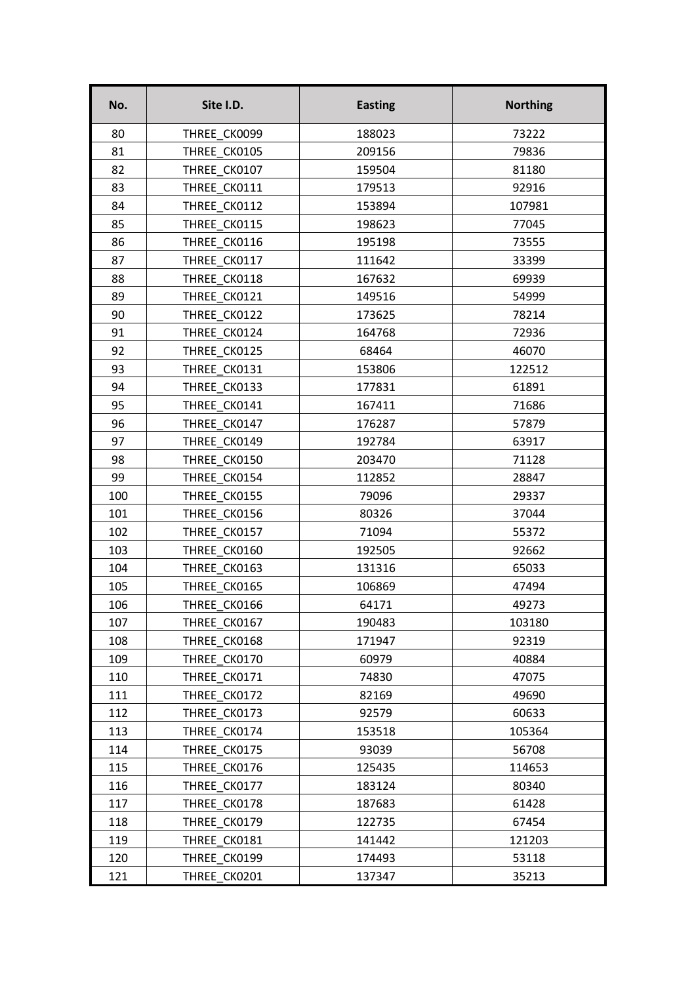| No. | Site I.D.    | <b>Easting</b> | <b>Northing</b> |
|-----|--------------|----------------|-----------------|
| 80  | THREE CK0099 | 188023         | 73222           |
| 81  | THREE CK0105 | 209156         | 79836           |
| 82  | THREE CK0107 | 159504         | 81180           |
| 83  | THREE CK0111 | 179513         | 92916           |
| 84  | THREE CK0112 | 153894         | 107981          |
| 85  | THREE CK0115 | 198623         | 77045           |
| 86  | THREE CK0116 | 195198         | 73555           |
| 87  | THREE CK0117 | 111642         | 33399           |
| 88  | THREE CK0118 | 167632         | 69939           |
| 89  | THREE CK0121 | 149516         | 54999           |
| 90  | THREE CK0122 | 173625         | 78214           |
| 91  | THREE CK0124 | 164768         | 72936           |
| 92  | THREE CK0125 | 68464          | 46070           |
| 93  | THREE CK0131 | 153806         | 122512          |
| 94  | THREE CK0133 | 177831         | 61891           |
| 95  | THREE CK0141 | 167411         | 71686           |
| 96  | THREE CK0147 | 176287         | 57879           |
| 97  | THREE CK0149 | 192784         | 63917           |
| 98  | THREE CK0150 | 203470         | 71128           |
| 99  | THREE CK0154 | 112852         | 28847           |
| 100 | THREE CK0155 | 79096          | 29337           |
| 101 | THREE CK0156 | 80326          | 37044           |
| 102 | THREE CK0157 | 71094          | 55372           |
| 103 | THREE CK0160 | 192505         | 92662           |
| 104 | THREE CK0163 | 131316         | 65033           |
| 105 | THREE CK0165 | 106869         | 47494           |
| 106 | THREE CK0166 | 64171          | 49273           |
| 107 | THREE CK0167 | 190483         | 103180          |
| 108 | THREE CK0168 | 171947         | 92319           |
| 109 | THREE CK0170 | 60979          | 40884           |
| 110 | THREE CK0171 | 74830          | 47075           |
| 111 | THREE CK0172 | 82169          | 49690           |
| 112 | THREE CK0173 | 92579          | 60633           |
| 113 | THREE CK0174 | 153518         | 105364          |
| 114 | THREE CK0175 | 93039          | 56708           |
| 115 | THREE CK0176 | 125435         | 114653          |
| 116 | THREE CK0177 | 183124         | 80340           |
| 117 | THREE CK0178 | 187683         | 61428           |
| 118 | THREE CK0179 | 122735         | 67454           |
| 119 | THREE CK0181 | 141442         | 121203          |
| 120 | THREE CK0199 | 174493         | 53118           |
| 121 | THREE CK0201 | 137347         | 35213           |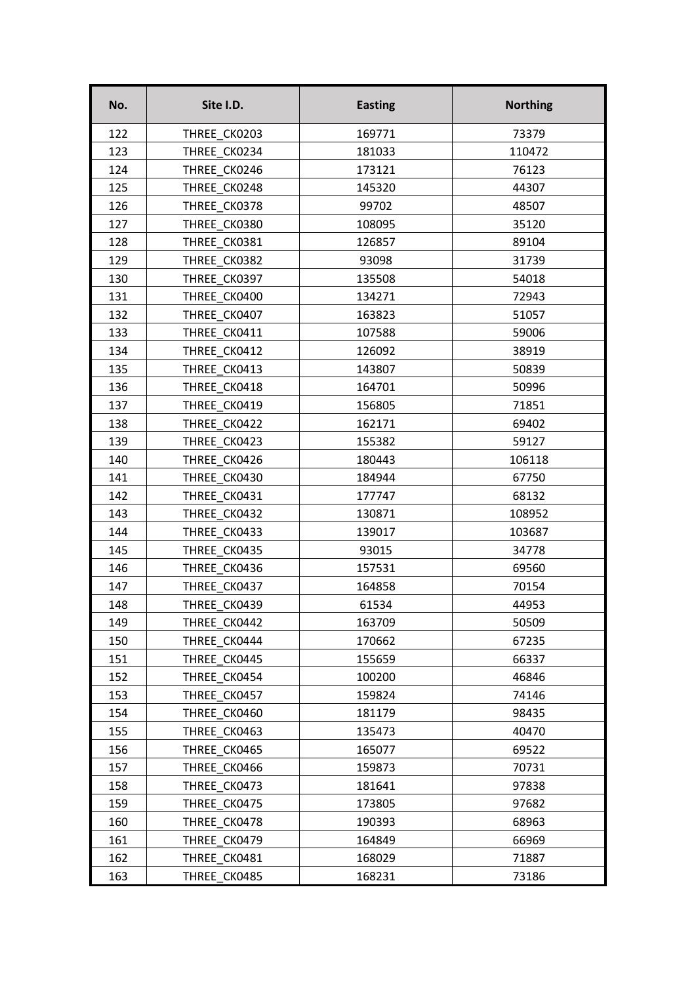| No. | Site I.D.    | <b>Easting</b> | <b>Northing</b> |
|-----|--------------|----------------|-----------------|
| 122 | THREE CK0203 | 169771         | 73379           |
| 123 | THREE CK0234 | 181033         | 110472          |
| 124 | THREE CK0246 | 173121         | 76123           |
| 125 | THREE CK0248 | 145320         | 44307           |
| 126 | THREE CK0378 | 99702          | 48507           |
| 127 | THREE CK0380 | 108095         | 35120           |
| 128 | THREE CK0381 | 126857         | 89104           |
| 129 | THREE CK0382 | 93098          | 31739           |
| 130 | THREE CK0397 | 135508         | 54018           |
| 131 | THREE CK0400 | 134271         | 72943           |
| 132 | THREE CK0407 | 163823         | 51057           |
| 133 | THREE CK0411 | 107588         | 59006           |
| 134 | THREE CK0412 | 126092         | 38919           |
| 135 | THREE CK0413 | 143807         | 50839           |
| 136 | THREE CK0418 | 164701         | 50996           |
| 137 | THREE CK0419 | 156805         | 71851           |
| 138 | THREE CK0422 | 162171         | 69402           |
| 139 | THREE CK0423 | 155382         | 59127           |
| 140 | THREE CK0426 | 180443         | 106118          |
| 141 | THREE CK0430 | 184944         | 67750           |
| 142 | THREE CK0431 | 177747         | 68132           |
| 143 | THREE CK0432 | 130871         | 108952          |
| 144 | THREE CK0433 | 139017         | 103687          |
| 145 | THREE CK0435 | 93015          | 34778           |
| 146 | THREE CK0436 | 157531         | 69560           |
| 147 | THREE CK0437 | 164858         | 70154           |
| 148 | THREE_CK0439 | 61534          | 44953           |
| 149 | THREE CK0442 | 163709         | 50509           |
| 150 | THREE CK0444 | 170662         | 67235           |
| 151 | THREE CK0445 | 155659         | 66337           |
| 152 | THREE CK0454 | 100200         | 46846           |
| 153 | THREE CK0457 | 159824         | 74146           |
| 154 | THREE CK0460 | 181179         | 98435           |
| 155 | THREE CK0463 | 135473         | 40470           |
| 156 | THREE CK0465 | 165077         | 69522           |
| 157 | THREE CK0466 | 159873         | 70731           |
| 158 | THREE CK0473 | 181641         | 97838           |
| 159 | THREE CK0475 | 173805         | 97682           |
| 160 | THREE CK0478 | 190393         | 68963           |
| 161 | THREE CK0479 | 164849         | 66969           |
| 162 | THREE CK0481 | 168029         | 71887           |
| 163 | THREE CK0485 | 168231         | 73186           |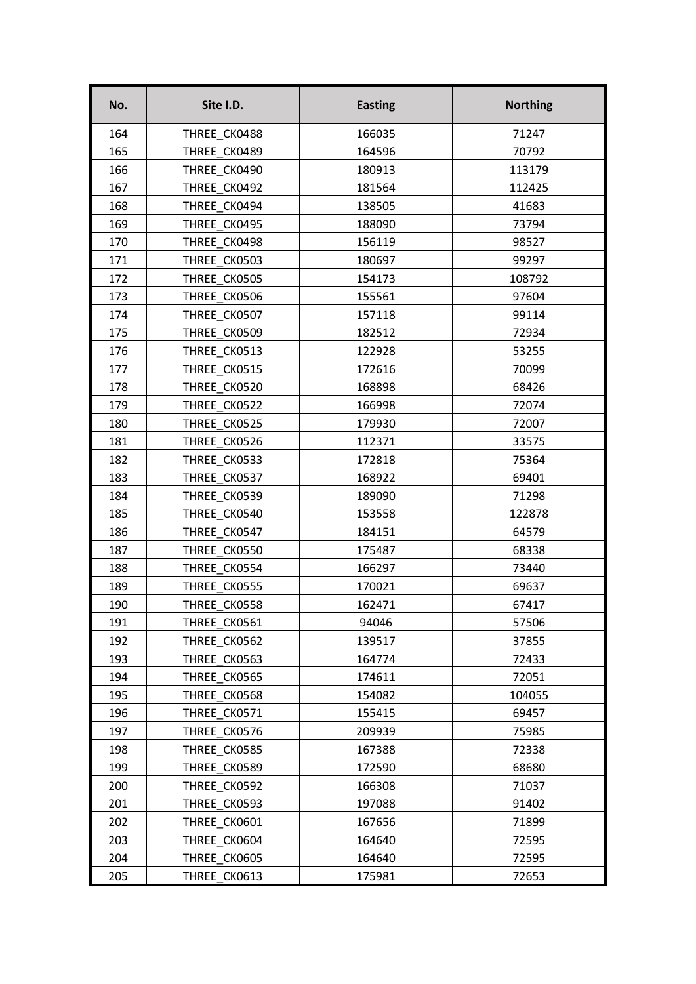| No. | Site I.D.    | <b>Easting</b> | <b>Northing</b> |
|-----|--------------|----------------|-----------------|
| 164 | THREE CK0488 | 166035         | 71247           |
| 165 | THREE CK0489 | 164596         | 70792           |
| 166 | THREE CK0490 | 180913         | 113179          |
| 167 | THREE CK0492 | 181564         | 112425          |
| 168 | THREE CK0494 | 138505         | 41683           |
| 169 | THREE CK0495 | 188090         | 73794           |
| 170 | THREE CK0498 | 156119         | 98527           |
| 171 | THREE CK0503 | 180697         | 99297           |
| 172 | THREE CK0505 | 154173         | 108792          |
| 173 | THREE CK0506 | 155561         | 97604           |
| 174 | THREE CK0507 | 157118         | 99114           |
| 175 | THREE CK0509 | 182512         | 72934           |
| 176 | THREE CK0513 | 122928         | 53255           |
| 177 | THREE CK0515 | 172616         | 70099           |
| 178 | THREE CK0520 | 168898         | 68426           |
| 179 | THREE CK0522 | 166998         | 72074           |
| 180 | THREE CK0525 | 179930         | 72007           |
| 181 | THREE CK0526 | 112371         | 33575           |
| 182 | THREE CK0533 | 172818         | 75364           |
| 183 | THREE CK0537 | 168922         | 69401           |
| 184 | THREE CK0539 | 189090         | 71298           |
| 185 | THREE CK0540 | 153558         | 122878          |
| 186 | THREE CK0547 | 184151         | 64579           |
| 187 | THREE CK0550 | 175487         | 68338           |
| 188 | THREE CK0554 | 166297         | 73440           |
| 189 | THREE CK0555 | 170021         | 69637           |
| 190 | THREE_CK0558 | 162471         | 67417           |
| 191 | THREE CK0561 | 94046          | 57506           |
| 192 | THREE CK0562 | 139517         | 37855           |
| 193 | THREE CK0563 | 164774         | 72433           |
| 194 | THREE CK0565 | 174611         | 72051           |
| 195 | THREE CK0568 | 154082         | 104055          |
| 196 | THREE CK0571 | 155415         | 69457           |
| 197 | THREE CK0576 | 209939         | 75985           |
| 198 | THREE CK0585 | 167388         | 72338           |
| 199 | THREE CK0589 | 172590         | 68680           |
| 200 | THREE CK0592 | 166308         | 71037           |
| 201 | THREE CK0593 | 197088         | 91402           |
| 202 | THREE CK0601 | 167656         | 71899           |
| 203 | THREE CK0604 | 164640         | 72595           |
| 204 | THREE CK0605 | 164640         | 72595           |
| 205 | THREE CK0613 | 175981         | 72653           |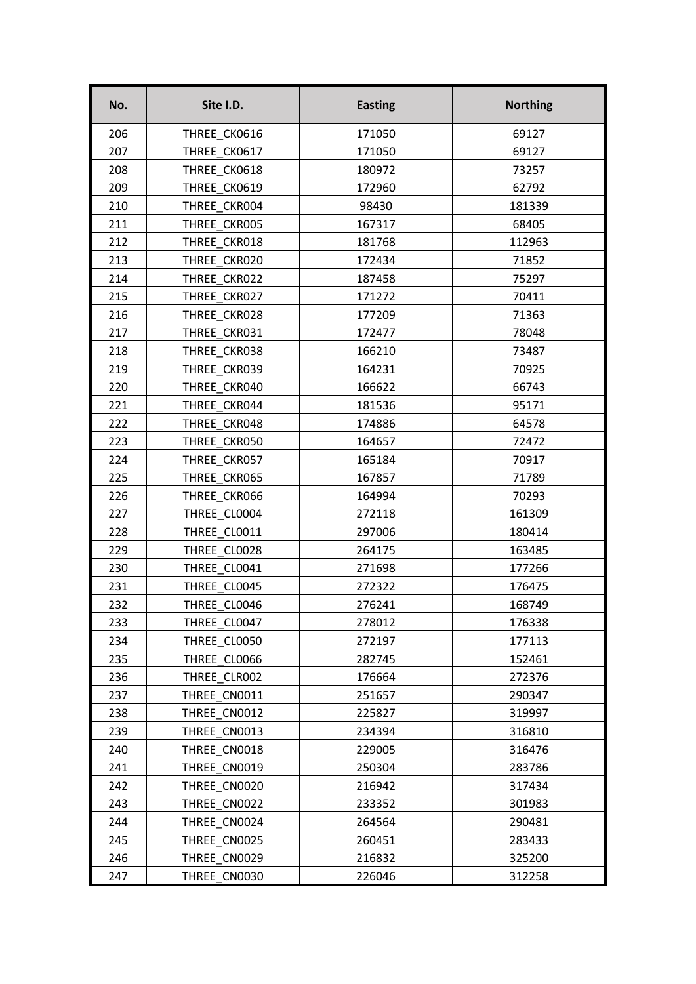| No. | Site I.D.    | <b>Easting</b> | <b>Northing</b> |
|-----|--------------|----------------|-----------------|
| 206 | THREE CK0616 | 171050         | 69127           |
| 207 | THREE CK0617 | 171050         | 69127           |
| 208 | THREE CK0618 | 180972         | 73257           |
| 209 | THREE CK0619 | 172960         | 62792           |
| 210 | THREE CKR004 | 98430          | 181339          |
| 211 | THREE CKR005 | 167317         | 68405           |
| 212 | THREE CKR018 | 181768         | 112963          |
| 213 | THREE CKR020 | 172434         | 71852           |
| 214 | THREE CKR022 | 187458         | 75297           |
| 215 | THREE CKR027 | 171272         | 70411           |
| 216 | THREE CKR028 | 177209         | 71363           |
| 217 | THREE CKR031 | 172477         | 78048           |
| 218 | THREE CKR038 | 166210         | 73487           |
| 219 | THREE CKR039 | 164231         | 70925           |
| 220 | THREE CKR040 | 166622         | 66743           |
| 221 | THREE CKR044 | 181536         | 95171           |
| 222 | THREE CKR048 | 174886         | 64578           |
| 223 | THREE CKR050 | 164657         | 72472           |
| 224 | THREE CKR057 | 165184         | 70917           |
| 225 | THREE CKR065 | 167857         | 71789           |
| 226 | THREE CKR066 | 164994         | 70293           |
| 227 | THREE CL0004 | 272118         | 161309          |
| 228 | THREE CL0011 | 297006         | 180414          |
| 229 | THREE CL0028 | 264175         | 163485          |
| 230 | THREE CL0041 | 271698         | 177266          |
| 231 | THREE CL0045 | 272322         | 176475          |
| 232 | THREE CL0046 | 276241         | 168749          |
| 233 | THREE CL0047 | 278012         | 176338          |
| 234 | THREE CL0050 | 272197         | 177113          |
| 235 | THREE CL0066 | 282745         | 152461          |
| 236 | THREE CLR002 | 176664         | 272376          |
| 237 | THREE CN0011 | 251657         | 290347          |
| 238 | THREE CN0012 | 225827         | 319997          |
| 239 | THREE CN0013 | 234394         | 316810          |
| 240 | THREE CN0018 | 229005         | 316476          |
| 241 | THREE CN0019 | 250304         | 283786          |
| 242 | THREE CN0020 | 216942         | 317434          |
| 243 | THREE CN0022 | 233352         | 301983          |
| 244 | THREE CN0024 | 264564         | 290481          |
| 245 | THREE CN0025 | 260451         | 283433          |
| 246 | THREE CN0029 | 216832         | 325200          |
| 247 | THREE CN0030 | 226046         | 312258          |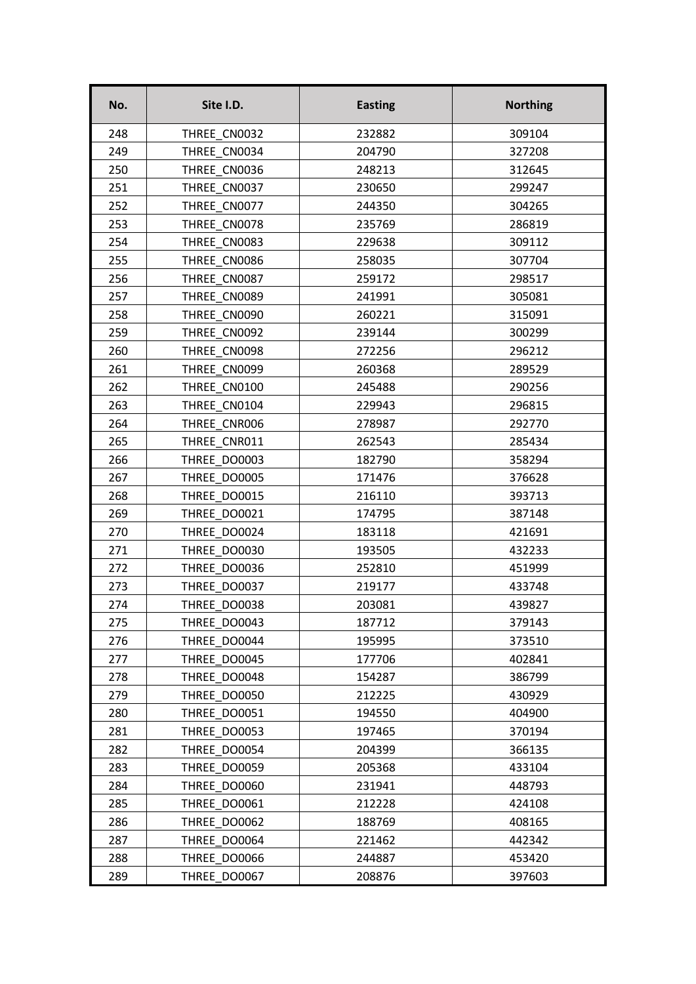| No. | Site I.D.    | <b>Easting</b> | <b>Northing</b> |
|-----|--------------|----------------|-----------------|
| 248 | THREE CN0032 | 232882         | 309104          |
| 249 | THREE CN0034 | 204790         | 327208          |
| 250 | THREE CN0036 | 248213         | 312645          |
| 251 | THREE CN0037 | 230650         | 299247          |
| 252 | THREE CN0077 | 244350         | 304265          |
| 253 | THREE CN0078 | 235769         | 286819          |
| 254 | THREE CN0083 | 229638         | 309112          |
| 255 | THREE CN0086 | 258035         | 307704          |
| 256 | THREE CN0087 | 259172         | 298517          |
| 257 | THREE CN0089 | 241991         | 305081          |
| 258 | THREE CN0090 | 260221         | 315091          |
| 259 | THREE CN0092 | 239144         | 300299          |
| 260 | THREE CN0098 | 272256         | 296212          |
| 261 | THREE CN0099 | 260368         | 289529          |
| 262 | THREE CN0100 | 245488         | 290256          |
| 263 | THREE CN0104 | 229943         | 296815          |
| 264 | THREE CNR006 | 278987         | 292770          |
| 265 | THREE CNR011 | 262543         | 285434          |
| 266 | THREE DO0003 | 182790         | 358294          |
| 267 | THREE DO0005 | 171476         | 376628          |
| 268 | THREE DO0015 | 216110         | 393713          |
| 269 | THREE DO0021 | 174795         | 387148          |
| 270 | THREE DO0024 | 183118         | 421691          |
| 271 | THREE DO0030 | 193505         | 432233          |
| 272 | THREE DO0036 | 252810         | 451999          |
| 273 | THREE DO0037 | 219177         | 433748          |
| 274 | THREE_DO0038 | 203081         | 439827          |
| 275 | THREE DO0043 | 187712         | 379143          |
| 276 | THREE DO0044 | 195995         | 373510          |
| 277 | THREE DO0045 | 177706         | 402841          |
| 278 | THREE DO0048 | 154287         | 386799          |
| 279 | THREE DO0050 | 212225         | 430929          |
| 280 | THREE DO0051 | 194550         | 404900          |
| 281 | THREE DO0053 | 197465         | 370194          |
| 282 | THREE DO0054 | 204399         | 366135          |
| 283 | THREE DO0059 | 205368         | 433104          |
| 284 | THREE DO0060 | 231941         | 448793          |
| 285 | THREE DO0061 | 212228         | 424108          |
| 286 | THREE DO0062 | 188769         | 408165          |
| 287 | THREE DO0064 | 221462         | 442342          |
| 288 | THREE DO0066 | 244887         | 453420          |
| 289 | THREE DO0067 | 208876         | 397603          |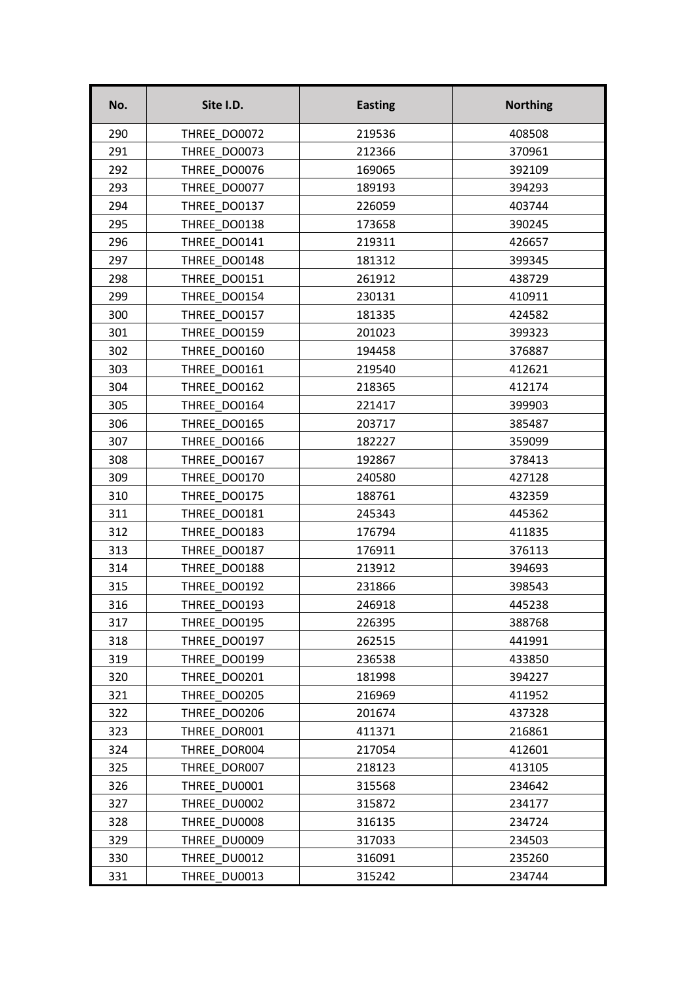| No. | Site I.D.    | <b>Easting</b> | <b>Northing</b> |
|-----|--------------|----------------|-----------------|
| 290 | THREE DO0072 | 219536         | 408508          |
| 291 | THREE DO0073 | 212366         | 370961          |
| 292 | THREE DO0076 | 169065         | 392109          |
| 293 | THREE DO0077 | 189193         | 394293          |
| 294 | THREE DO0137 | 226059         | 403744          |
| 295 | THREE DO0138 | 173658         | 390245          |
| 296 | THREE DO0141 | 219311         | 426657          |
| 297 | THREE DO0148 | 181312         | 399345          |
| 298 | THREE DO0151 | 261912         | 438729          |
| 299 | THREE DO0154 | 230131         | 410911          |
| 300 | THREE DO0157 | 181335         | 424582          |
| 301 | THREE DO0159 | 201023         | 399323          |
| 302 | THREE DO0160 | 194458         | 376887          |
| 303 | THREE DO0161 | 219540         | 412621          |
| 304 | THREE DO0162 | 218365         | 412174          |
| 305 | THREE DO0164 | 221417         | 399903          |
| 306 | THREE DO0165 | 203717         | 385487          |
| 307 | THREE DO0166 | 182227         | 359099          |
| 308 | THREE DO0167 | 192867         | 378413          |
| 309 | THREE DO0170 | 240580         | 427128          |
| 310 | THREE DO0175 | 188761         | 432359          |
| 311 | THREE DO0181 | 245343         | 445362          |
| 312 | THREE DO0183 | 176794         | 411835          |
| 313 | THREE DO0187 | 176911         | 376113          |
| 314 | THREE DO0188 | 213912         | 394693          |
| 315 | THREE DO0192 | 231866         | 398543          |
| 316 | THREE_DO0193 | 246918         | 445238          |
| 317 | THREE DO0195 | 226395         | 388768          |
| 318 | THREE DO0197 | 262515         | 441991          |
| 319 | THREE DO0199 | 236538         | 433850          |
| 320 | THREE DO0201 | 181998         | 394227          |
| 321 | THREE DO0205 | 216969         | 411952          |
| 322 | THREE DO0206 | 201674         | 437328          |
| 323 | THREE DOR001 | 411371         | 216861          |
| 324 | THREE DOR004 | 217054         | 412601          |
| 325 | THREE DOR007 | 218123         | 413105          |
| 326 | THREE DU0001 | 315568         | 234642          |
| 327 | THREE DU0002 | 315872         | 234177          |
| 328 | THREE DU0008 | 316135         | 234724          |
| 329 | THREE DU0009 | 317033         | 234503          |
| 330 | THREE DU0012 | 316091         | 235260          |
| 331 | THREE DU0013 | 315242         | 234744          |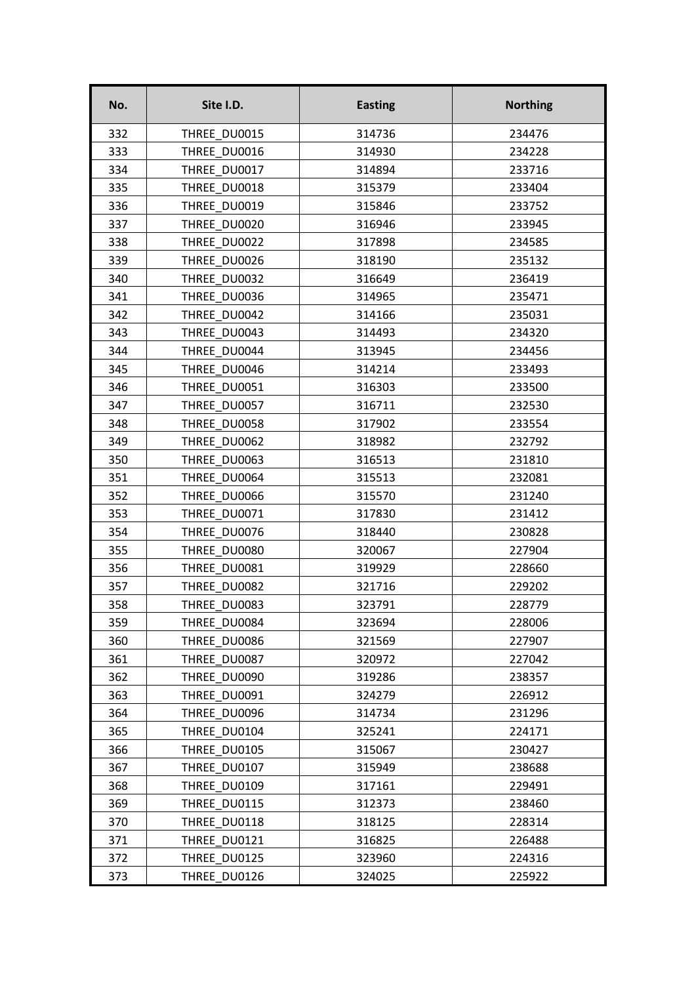| No. | Site I.D.    | <b>Easting</b> | <b>Northing</b> |
|-----|--------------|----------------|-----------------|
| 332 | THREE DU0015 | 314736         | 234476          |
| 333 | THREE DU0016 | 314930         | 234228          |
| 334 | THREE DU0017 | 314894         | 233716          |
| 335 | THREE DU0018 | 315379         | 233404          |
| 336 | THREE DU0019 | 315846         | 233752          |
| 337 | THREE DU0020 | 316946         | 233945          |
| 338 | THREE DU0022 | 317898         | 234585          |
| 339 | THREE DU0026 | 318190         | 235132          |
| 340 | THREE DU0032 | 316649         | 236419          |
| 341 | THREE DU0036 | 314965         | 235471          |
| 342 | THREE DU0042 | 314166         | 235031          |
| 343 | THREE DU0043 | 314493         | 234320          |
| 344 | THREE DU0044 | 313945         | 234456          |
| 345 | THREE DU0046 | 314214         | 233493          |
| 346 | THREE DU0051 | 316303         | 233500          |
| 347 | THREE DU0057 | 316711         | 232530          |
| 348 | THREE DU0058 | 317902         | 233554          |
| 349 | THREE DU0062 | 318982         | 232792          |
| 350 | THREE DU0063 | 316513         | 231810          |
| 351 | THREE DU0064 | 315513         | 232081          |
| 352 | THREE DU0066 | 315570         | 231240          |
| 353 | THREE DU0071 | 317830         | 231412          |
| 354 | THREE DU0076 | 318440         | 230828          |
| 355 | THREE DU0080 | 320067         | 227904          |
| 356 | THREE DU0081 | 319929         | 228660          |
| 357 | THREE DU0082 | 321716         | 229202          |
| 358 | THREE_DU0083 | 323791         | 228779          |
| 359 | THREE DU0084 | 323694         | 228006          |
| 360 | THREE DU0086 | 321569         | 227907          |
| 361 | THREE DU0087 | 320972         | 227042          |
| 362 | THREE DU0090 | 319286         | 238357          |
| 363 | THREE DU0091 | 324279         | 226912          |
| 364 | THREE DU0096 | 314734         | 231296          |
| 365 | THREE DU0104 | 325241         | 224171          |
| 366 | THREE DU0105 | 315067         | 230427          |
| 367 | THREE DU0107 | 315949         | 238688          |
| 368 | THREE DU0109 | 317161         | 229491          |
| 369 | THREE DU0115 | 312373         | 238460          |
| 370 | THREE DU0118 | 318125         | 228314          |
| 371 | THREE DU0121 | 316825         | 226488          |
| 372 | THREE DU0125 | 323960         | 224316          |
| 373 | THREE DU0126 | 324025         | 225922          |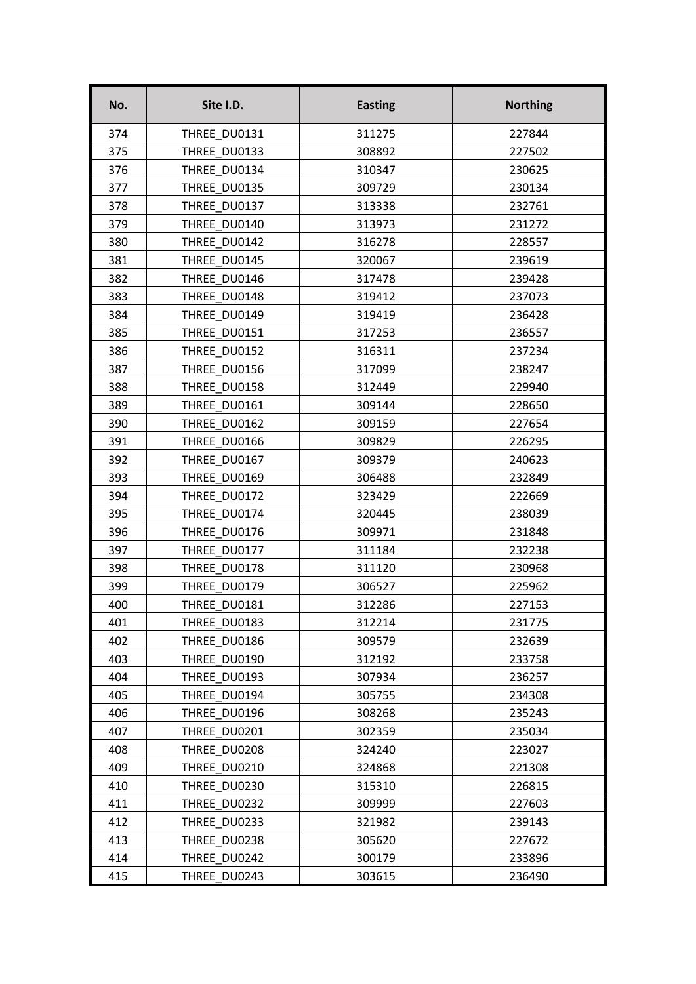| No. | Site I.D.    | <b>Easting</b> | <b>Northing</b> |
|-----|--------------|----------------|-----------------|
| 374 | THREE DU0131 | 311275         | 227844          |
| 375 | THREE DU0133 | 308892         | 227502          |
| 376 | THREE DU0134 | 310347         | 230625          |
| 377 | THREE DU0135 | 309729         | 230134          |
| 378 | THREE DU0137 | 313338         | 232761          |
| 379 | THREE DU0140 | 313973         | 231272          |
| 380 | THREE DU0142 | 316278         | 228557          |
| 381 | THREE DU0145 | 320067         | 239619          |
| 382 | THREE DU0146 | 317478         | 239428          |
| 383 | THREE DU0148 | 319412         | 237073          |
| 384 | THREE DU0149 | 319419         | 236428          |
| 385 | THREE DU0151 | 317253         | 236557          |
| 386 | THREE DU0152 | 316311         | 237234          |
| 387 | THREE DU0156 | 317099         | 238247          |
| 388 | THREE DU0158 | 312449         | 229940          |
| 389 | THREE DU0161 | 309144         | 228650          |
| 390 | THREE DU0162 | 309159         | 227654          |
| 391 | THREE DU0166 | 309829         | 226295          |
| 392 | THREE DU0167 | 309379         | 240623          |
| 393 | THREE DU0169 | 306488         | 232849          |
| 394 | THREE DU0172 | 323429         | 222669          |
| 395 | THREE DU0174 | 320445         | 238039          |
| 396 | THREE DU0176 | 309971         | 231848          |
| 397 | THREE DU0177 | 311184         | 232238          |
| 398 | THREE DU0178 | 311120         | 230968          |
| 399 | THREE DU0179 | 306527         | 225962          |
| 400 | THREE_DU0181 | 312286         | 227153          |
| 401 | THREE DU0183 | 312214         | 231775          |
| 402 | THREE DU0186 | 309579         | 232639          |
| 403 | THREE DU0190 | 312192         | 233758          |
| 404 | THREE DU0193 | 307934         | 236257          |
| 405 | THREE DU0194 | 305755         | 234308          |
| 406 | THREE DU0196 | 308268         | 235243          |
| 407 | THREE DU0201 | 302359         | 235034          |
| 408 | THREE DU0208 | 324240         | 223027          |
| 409 | THREE DU0210 | 324868         | 221308          |
| 410 | THREE DU0230 | 315310         | 226815          |
| 411 | THREE DU0232 | 309999         | 227603          |
| 412 | THREE DU0233 | 321982         | 239143          |
| 413 | THREE DU0238 | 305620         | 227672          |
| 414 | THREE DU0242 | 300179         | 233896          |
| 415 | THREE DU0243 | 303615         | 236490          |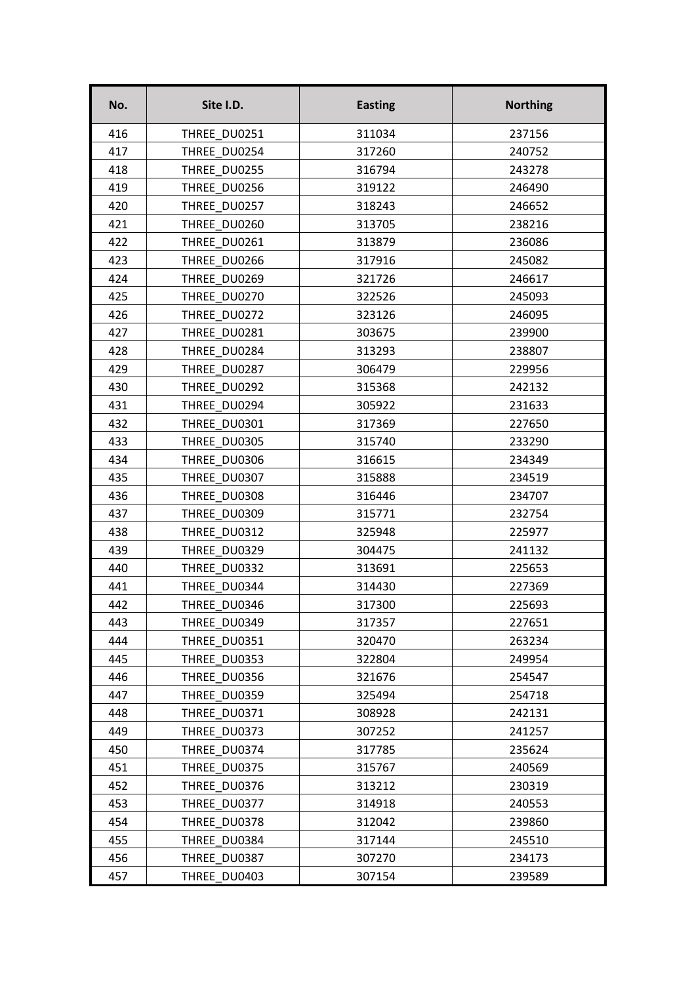| No. | Site I.D.    | <b>Easting</b> | <b>Northing</b> |
|-----|--------------|----------------|-----------------|
| 416 | THREE DU0251 | 311034         | 237156          |
| 417 | THREE DU0254 | 317260         | 240752          |
| 418 | THREE DU0255 | 316794         | 243278          |
| 419 | THREE DU0256 | 319122         | 246490          |
| 420 | THREE DU0257 | 318243         | 246652          |
| 421 | THREE DU0260 | 313705         | 238216          |
| 422 | THREE DU0261 | 313879         | 236086          |
| 423 | THREE DU0266 | 317916         | 245082          |
| 424 | THREE DU0269 | 321726         | 246617          |
| 425 | THREE DU0270 | 322526         | 245093          |
| 426 | THREE DU0272 | 323126         | 246095          |
| 427 | THREE DU0281 | 303675         | 239900          |
| 428 | THREE DU0284 | 313293         | 238807          |
| 429 | THREE DU0287 | 306479         | 229956          |
| 430 | THREE DU0292 | 315368         | 242132          |
| 431 | THREE DU0294 | 305922         | 231633          |
| 432 | THREE DU0301 | 317369         | 227650          |
| 433 | THREE DU0305 | 315740         | 233290          |
| 434 | THREE DU0306 | 316615         | 234349          |
| 435 | THREE DU0307 | 315888         | 234519          |
| 436 | THREE DU0308 | 316446         | 234707          |
| 437 | THREE DU0309 | 315771         | 232754          |
| 438 | THREE DU0312 | 325948         | 225977          |
| 439 | THREE DU0329 | 304475         | 241132          |
| 440 | THREE DU0332 | 313691         | 225653          |
| 441 | THREE DU0344 | 314430         | 227369          |
| 442 | THREE DU0346 | 317300         | 225693          |
| 443 | THREE DU0349 | 317357         | 227651          |
| 444 | THREE DU0351 | 320470         | 263234          |
| 445 | THREE DU0353 | 322804         | 249954          |
| 446 | THREE DU0356 | 321676         | 254547          |
| 447 | THREE DU0359 | 325494         | 254718          |
| 448 | THREE DU0371 | 308928         | 242131          |
| 449 | THREE DU0373 | 307252         | 241257          |
| 450 | THREE DU0374 | 317785         | 235624          |
| 451 | THREE DU0375 | 315767         | 240569          |
| 452 | THREE DU0376 | 313212         | 230319          |
| 453 | THREE DU0377 | 314918         | 240553          |
| 454 | THREE DU0378 | 312042         | 239860          |
| 455 | THREE DU0384 | 317144         | 245510          |
| 456 | THREE DU0387 | 307270         | 234173          |
| 457 | THREE DU0403 | 307154         | 239589          |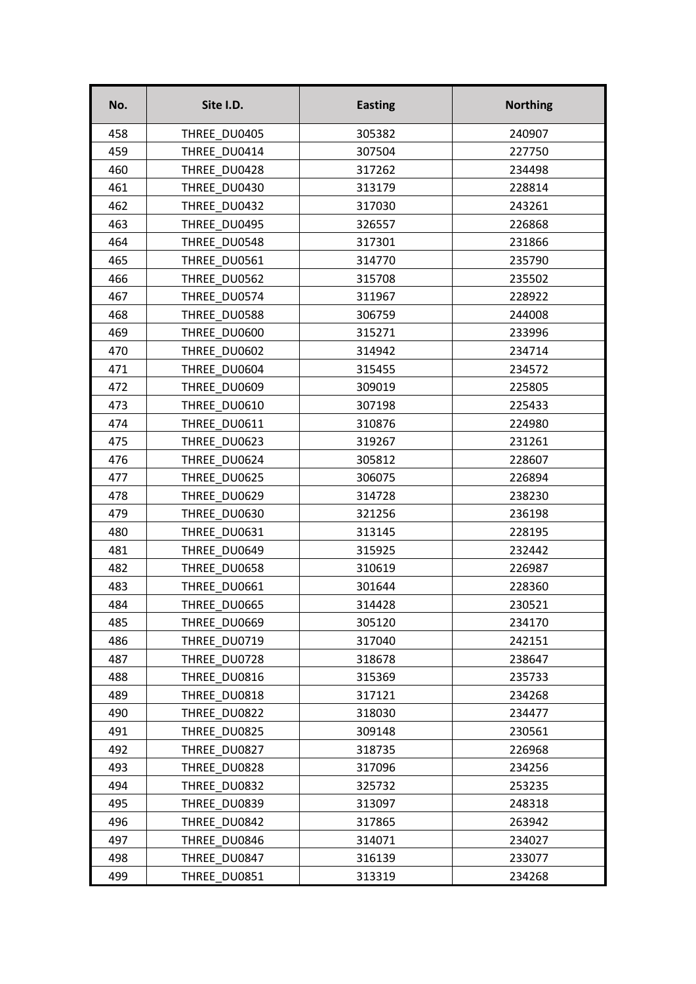| No. | Site I.D.    | <b>Easting</b> | <b>Northing</b> |
|-----|--------------|----------------|-----------------|
| 458 | THREE DU0405 | 305382         | 240907          |
| 459 | THREE DU0414 | 307504         | 227750          |
| 460 | THREE DU0428 | 317262         | 234498          |
| 461 | THREE DU0430 | 313179         | 228814          |
| 462 | THREE DU0432 | 317030         | 243261          |
| 463 | THREE DU0495 | 326557         | 226868          |
| 464 | THREE DU0548 | 317301         | 231866          |
| 465 | THREE DU0561 | 314770         | 235790          |
| 466 | THREE DU0562 | 315708         | 235502          |
| 467 | THREE DU0574 | 311967         | 228922          |
| 468 | THREE DU0588 | 306759         | 244008          |
| 469 | THREE DU0600 | 315271         | 233996          |
| 470 | THREE DU0602 | 314942         | 234714          |
| 471 | THREE DU0604 | 315455         | 234572          |
| 472 | THREE_DU0609 | 309019         | 225805          |
| 473 | THREE DU0610 | 307198         | 225433          |
| 474 | THREE DU0611 | 310876         | 224980          |
| 475 | THREE DU0623 | 319267         | 231261          |
| 476 | THREE DU0624 | 305812         | 228607          |
| 477 | THREE DU0625 | 306075         | 226894          |
| 478 | THREE DU0629 | 314728         | 238230          |
| 479 | THREE DU0630 | 321256         | 236198          |
| 480 | THREE DU0631 | 313145         | 228195          |
| 481 | THREE DU0649 | 315925         | 232442          |
| 482 | THREE DU0658 | 310619         | 226987          |
| 483 | THREE DU0661 | 301644         | 228360          |
| 484 | THREE DU0665 | 314428         | 230521          |
| 485 | THREE DU0669 | 305120         | 234170          |
| 486 | THREE DU0719 | 317040         | 242151          |
| 487 | THREE DU0728 | 318678         | 238647          |
| 488 | THREE DU0816 | 315369         | 235733          |
| 489 | THREE DU0818 | 317121         | 234268          |
| 490 | THREE DU0822 | 318030         | 234477          |
| 491 | THREE DU0825 | 309148         | 230561          |
| 492 | THREE DU0827 | 318735         | 226968          |
| 493 | THREE DU0828 | 317096         | 234256          |
| 494 | THREE DU0832 | 325732         | 253235          |
| 495 | THREE DU0839 | 313097         | 248318          |
| 496 | THREE DU0842 | 317865         | 263942          |
| 497 | THREE DU0846 | 314071         | 234027          |
| 498 | THREE DU0847 | 316139         | 233077          |
| 499 | THREE DU0851 | 313319         | 234268          |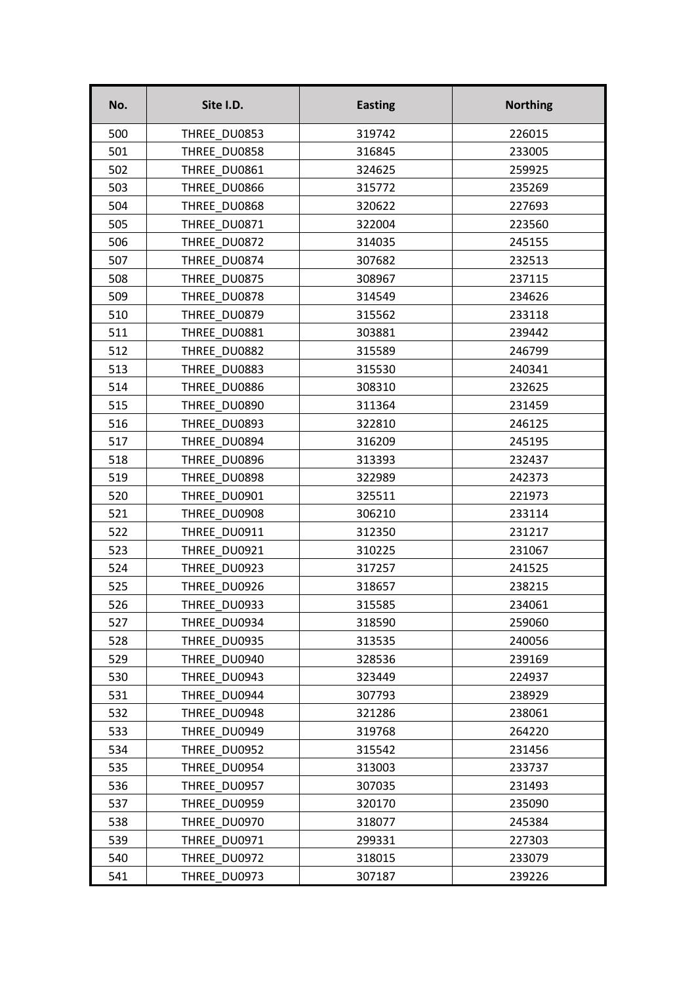| No. | Site I.D.    | <b>Easting</b> | <b>Northing</b> |
|-----|--------------|----------------|-----------------|
| 500 | THREE DU0853 | 319742         | 226015          |
| 501 | THREE DU0858 | 316845         | 233005          |
| 502 | THREE DU0861 | 324625         | 259925          |
| 503 | THREE DU0866 | 315772         | 235269          |
| 504 | THREE DU0868 | 320622         | 227693          |
| 505 | THREE DU0871 | 322004         | 223560          |
| 506 | THREE DU0872 | 314035         | 245155          |
| 507 | THREE DU0874 | 307682         | 232513          |
| 508 | THREE DU0875 | 308967         | 237115          |
| 509 | THREE DU0878 | 314549         | 234626          |
| 510 | THREE DU0879 | 315562         | 233118          |
| 511 | THREE DU0881 | 303881         | 239442          |
| 512 | THREE DU0882 | 315589         | 246799          |
| 513 | THREE DU0883 | 315530         | 240341          |
| 514 | THREE DU0886 | 308310         | 232625          |
| 515 | THREE DU0890 | 311364         | 231459          |
| 516 | THREE DU0893 | 322810         | 246125          |
| 517 | THREE DU0894 | 316209         | 245195          |
| 518 | THREE DU0896 | 313393         | 232437          |
| 519 | THREE DU0898 | 322989         | 242373          |
| 520 | THREE DU0901 | 325511         | 221973          |
| 521 | THREE DU0908 | 306210         | 233114          |
| 522 | THREE DU0911 | 312350         | 231217          |
| 523 | THREE DU0921 | 310225         | 231067          |
| 524 | THREE DU0923 | 317257         | 241525          |
| 525 | THREE DU0926 | 318657         | 238215          |
| 526 | THREE DU0933 | 315585         | 234061          |
| 527 | THREE DU0934 | 318590         | 259060          |
| 528 | THREE DU0935 | 313535         | 240056          |
| 529 | THREE DU0940 | 328536         | 239169          |
| 530 | THREE DU0943 | 323449         | 224937          |
| 531 | THREE DU0944 | 307793         | 238929          |
| 532 | THREE DU0948 | 321286         | 238061          |
| 533 | THREE DU0949 | 319768         | 264220          |
| 534 | THREE DU0952 | 315542         | 231456          |
| 535 | THREE DU0954 | 313003         | 233737          |
| 536 | THREE DU0957 | 307035         | 231493          |
| 537 | THREE DU0959 | 320170         | 235090          |
| 538 | THREE DU0970 | 318077         | 245384          |
| 539 | THREE DU0971 | 299331         | 227303          |
| 540 | THREE DU0972 | 318015         | 233079          |
| 541 | THREE DU0973 | 307187         | 239226          |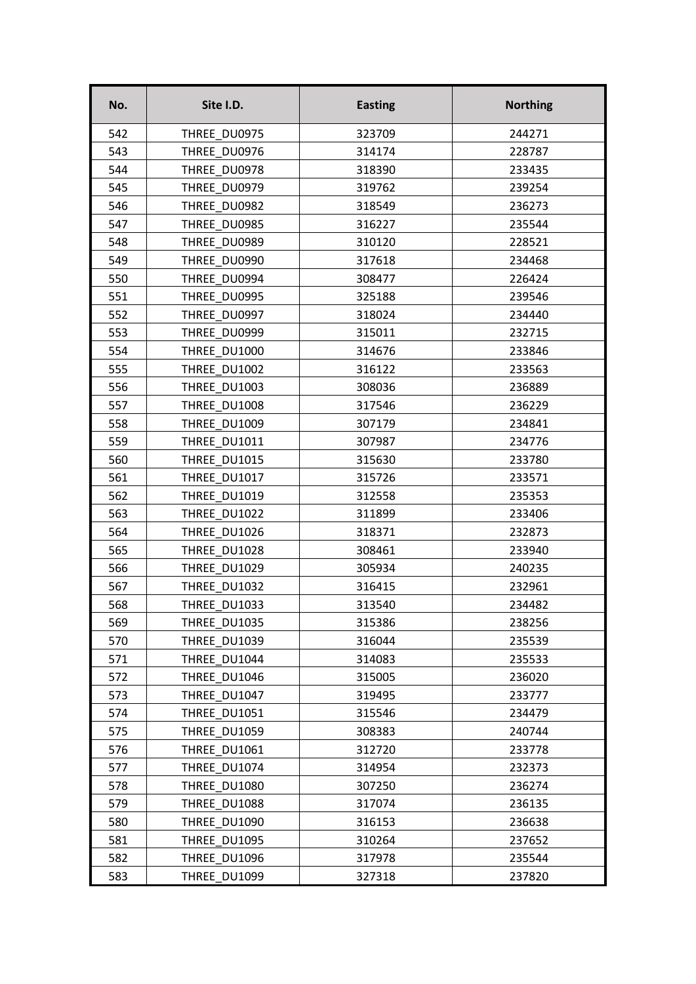| No. | Site I.D.    | <b>Easting</b> | <b>Northing</b> |
|-----|--------------|----------------|-----------------|
| 542 | THREE DU0975 | 323709         | 244271          |
| 543 | THREE DU0976 | 314174         | 228787          |
| 544 | THREE DU0978 | 318390         | 233435          |
| 545 | THREE DU0979 | 319762         | 239254          |
| 546 | THREE DU0982 | 318549         | 236273          |
| 547 | THREE DU0985 | 316227         | 235544          |
| 548 | THREE DU0989 | 310120         | 228521          |
| 549 | THREE DU0990 | 317618         | 234468          |
| 550 | THREE DU0994 | 308477         | 226424          |
| 551 | THREE DU0995 | 325188         | 239546          |
| 552 | THREE DU0997 | 318024         | 234440          |
| 553 | THREE DU0999 | 315011         | 232715          |
| 554 | THREE DU1000 | 314676         | 233846          |
| 555 | THREE DU1002 | 316122         | 233563          |
| 556 | THREE_DU1003 | 308036         | 236889          |
| 557 | THREE DU1008 | 317546         | 236229          |
| 558 | THREE DU1009 | 307179         | 234841          |
| 559 | THREE DU1011 | 307987         | 234776          |
| 560 | THREE DU1015 | 315630         | 233780          |
| 561 | THREE DU1017 | 315726         | 233571          |
| 562 | THREE DU1019 | 312558         | 235353          |
| 563 | THREE DU1022 | 311899         | 233406          |
| 564 | THREE DU1026 | 318371         | 232873          |
| 565 | THREE DU1028 | 308461         | 233940          |
| 566 | THREE DU1029 | 305934         | 240235          |
| 567 | THREE DU1032 | 316415         | 232961          |
| 568 | THREE_DU1033 | 313540         | 234482          |
| 569 | THREE DU1035 | 315386         | 238256          |
| 570 | THREE DU1039 | 316044         | 235539          |
| 571 | THREE DU1044 | 314083         | 235533          |
| 572 | THREE DU1046 | 315005         | 236020          |
| 573 | THREE DU1047 | 319495         | 233777          |
| 574 | THREE DU1051 | 315546         | 234479          |
| 575 | THREE DU1059 | 308383         | 240744          |
| 576 | THREE DU1061 | 312720         | 233778          |
| 577 | THREE DU1074 | 314954         | 232373          |
| 578 | THREE DU1080 | 307250         | 236274          |
| 579 | THREE DU1088 | 317074         | 236135          |
| 580 | THREE DU1090 | 316153         | 236638          |
| 581 | THREE DU1095 | 310264         | 237652          |
| 582 | THREE DU1096 | 317978         | 235544          |
| 583 | THREE DU1099 | 327318         | 237820          |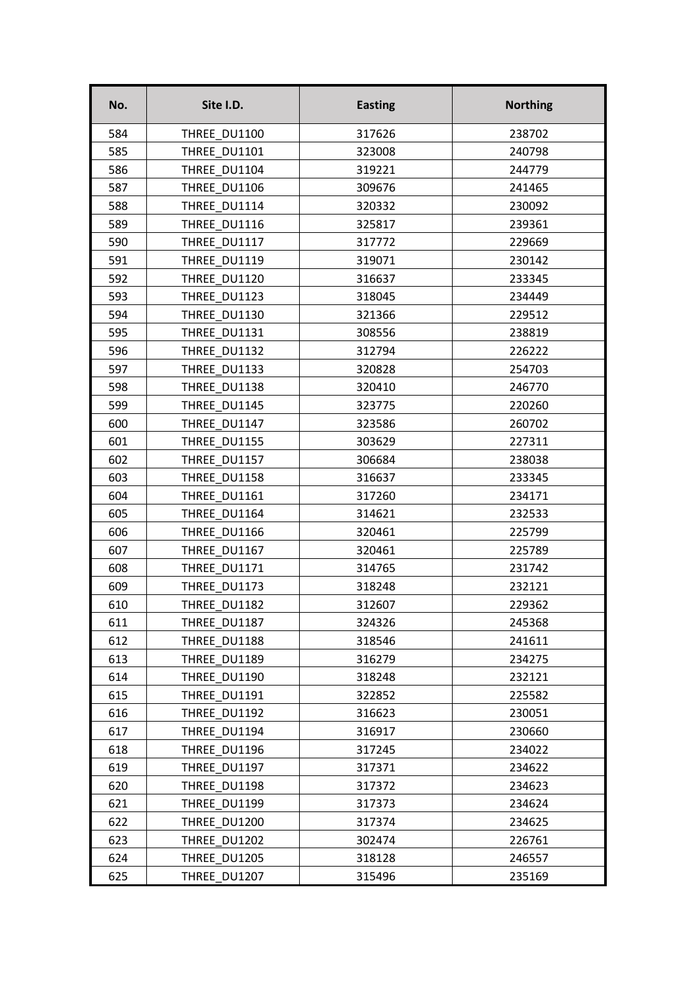| No. | Site I.D.    | <b>Easting</b> | <b>Northing</b> |
|-----|--------------|----------------|-----------------|
| 584 | THREE DU1100 | 317626         | 238702          |
| 585 | THREE DU1101 | 323008         | 240798          |
| 586 | THREE DU1104 | 319221         | 244779          |
| 587 | THREE DU1106 | 309676         | 241465          |
| 588 | THREE DU1114 | 320332         | 230092          |
| 589 | THREE DU1116 | 325817         | 239361          |
| 590 | THREE DU1117 | 317772         | 229669          |
| 591 | THREE DU1119 | 319071         | 230142          |
| 592 | THREE DU1120 | 316637         | 233345          |
| 593 | THREE DU1123 | 318045         | 234449          |
| 594 | THREE DU1130 | 321366         | 229512          |
| 595 | THREE DU1131 | 308556         | 238819          |
| 596 | THREE DU1132 | 312794         | 226222          |
| 597 | THREE DU1133 | 320828         | 254703          |
| 598 | THREE DU1138 | 320410         | 246770          |
| 599 | THREE DU1145 | 323775         | 220260          |
| 600 | THREE DU1147 | 323586         | 260702          |
| 601 | THREE DU1155 | 303629         | 227311          |
| 602 | THREE DU1157 | 306684         | 238038          |
| 603 | THREE DU1158 | 316637         | 233345          |
| 604 | THREE DU1161 | 317260         | 234171          |
| 605 | THREE DU1164 | 314621         | 232533          |
| 606 | THREE DU1166 | 320461         | 225799          |
| 607 | THREE DU1167 | 320461         | 225789          |
| 608 | THREE DU1171 | 314765         | 231742          |
| 609 | THREE DU1173 | 318248         | 232121          |
| 610 | THREE_DU1182 | 312607         | 229362          |
| 611 | THREE DU1187 | 324326         | 245368          |
| 612 | THREE DU1188 | 318546         | 241611          |
| 613 | THREE DU1189 | 316279         | 234275          |
| 614 | THREE DU1190 | 318248         | 232121          |
| 615 | THREE DU1191 | 322852         | 225582          |
| 616 | THREE DU1192 | 316623         | 230051          |
| 617 | THREE DU1194 | 316917         | 230660          |
| 618 | THREE DU1196 | 317245         | 234022          |
| 619 | THREE DU1197 | 317371         | 234622          |
| 620 | THREE DU1198 | 317372         | 234623          |
| 621 | THREE DU1199 | 317373         | 234624          |
| 622 | THREE DU1200 | 317374         | 234625          |
| 623 | THREE DU1202 | 302474         | 226761          |
| 624 | THREE DU1205 | 318128         | 246557          |
| 625 | THREE DU1207 | 315496         | 235169          |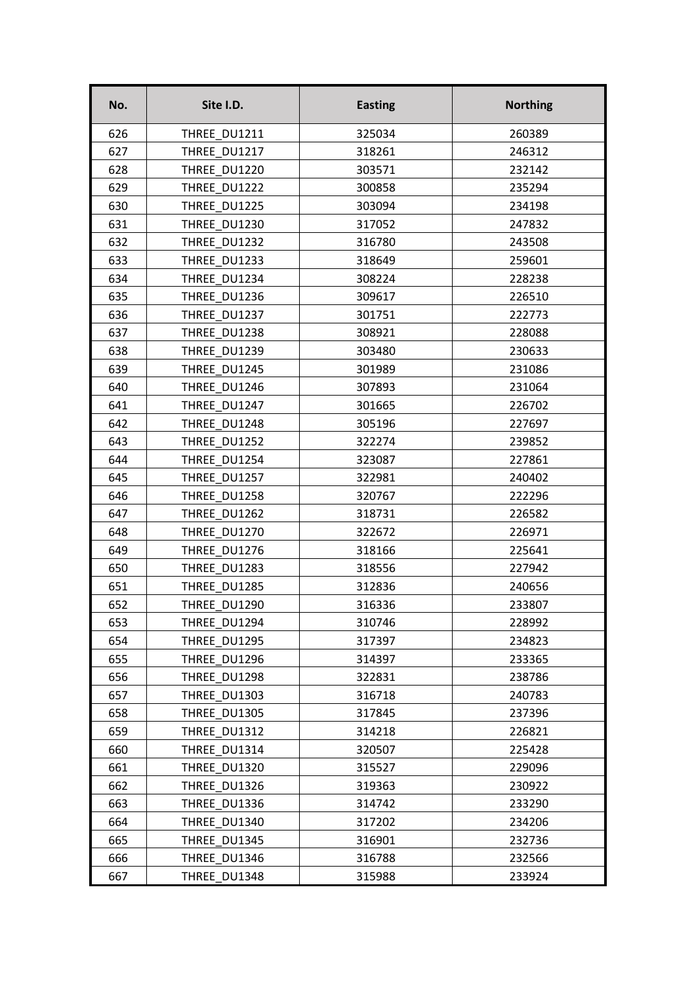| No. | Site I.D.    | <b>Easting</b> | <b>Northing</b> |
|-----|--------------|----------------|-----------------|
| 626 | THREE DU1211 | 325034         | 260389          |
| 627 | THREE DU1217 | 318261         | 246312          |
| 628 | THREE DU1220 | 303571         | 232142          |
| 629 | THREE DU1222 | 300858         | 235294          |
| 630 | THREE DU1225 | 303094         | 234198          |
| 631 | THREE DU1230 | 317052         | 247832          |
| 632 | THREE DU1232 | 316780         | 243508          |
| 633 | THREE DU1233 | 318649         | 259601          |
| 634 | THREE DU1234 | 308224         | 228238          |
| 635 | THREE DU1236 | 309617         | 226510          |
| 636 | THREE DU1237 | 301751         | 222773          |
| 637 | THREE DU1238 | 308921         | 228088          |
| 638 | THREE DU1239 | 303480         | 230633          |
| 639 | THREE DU1245 | 301989         | 231086          |
| 640 | THREE_DU1246 | 307893         | 231064          |
| 641 | THREE DU1247 | 301665         | 226702          |
| 642 | THREE DU1248 | 305196         | 227697          |
| 643 | THREE DU1252 | 322274         | 239852          |
| 644 | THREE DU1254 | 323087         | 227861          |
| 645 | THREE DU1257 | 322981         | 240402          |
| 646 | THREE DU1258 | 320767         | 222296          |
| 647 | THREE DU1262 | 318731         | 226582          |
| 648 | THREE DU1270 | 322672         | 226971          |
| 649 | THREE DU1276 | 318166         | 225641          |
| 650 | THREE DU1283 | 318556         | 227942          |
| 651 | THREE DU1285 | 312836         | 240656          |
| 652 | THREE DU1290 | 316336         | 233807          |
| 653 | THREE DU1294 | 310746         | 228992          |
| 654 | THREE DU1295 | 317397         | 234823          |
| 655 | THREE DU1296 | 314397         | 233365          |
| 656 | THREE DU1298 | 322831         | 238786          |
| 657 | THREE DU1303 | 316718         | 240783          |
| 658 | THREE DU1305 | 317845         | 237396          |
| 659 | THREE DU1312 | 314218         | 226821          |
| 660 | THREE DU1314 | 320507         | 225428          |
| 661 | THREE DU1320 | 315527         | 229096          |
| 662 | THREE DU1326 | 319363         | 230922          |
| 663 | THREE DU1336 | 314742         | 233290          |
| 664 | THREE DU1340 | 317202         | 234206          |
| 665 | THREE DU1345 | 316901         | 232736          |
| 666 | THREE DU1346 | 316788         | 232566          |
| 667 | THREE DU1348 | 315988         | 233924          |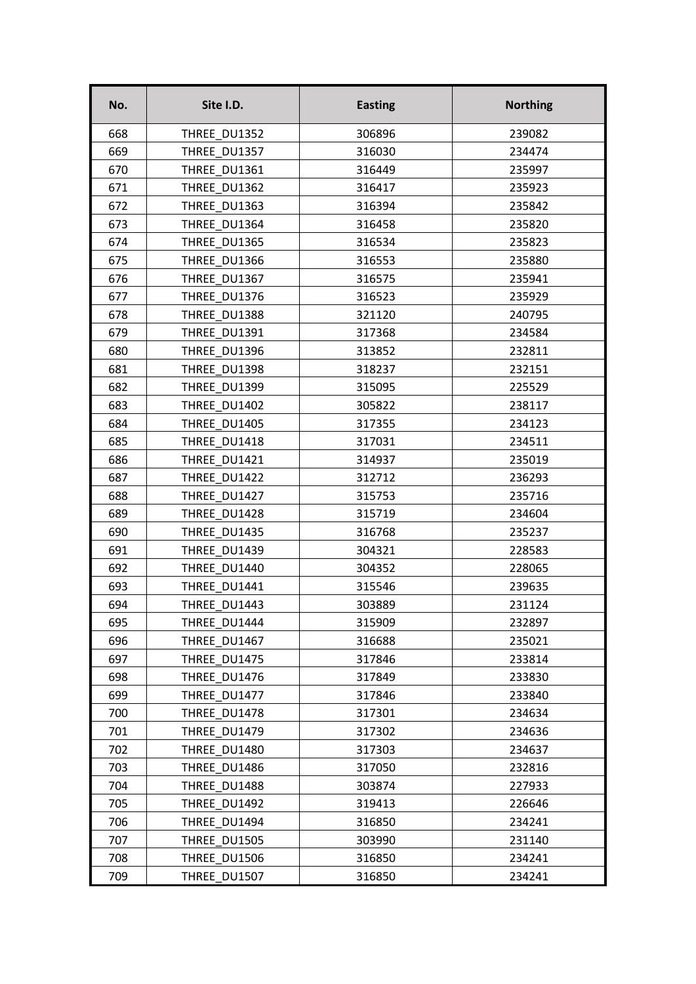| No. | Site I.D.    | <b>Easting</b> | <b>Northing</b> |
|-----|--------------|----------------|-----------------|
| 668 | THREE DU1352 | 306896         | 239082          |
| 669 | THREE DU1357 | 316030         | 234474          |
| 670 | THREE DU1361 | 316449         | 235997          |
| 671 | THREE DU1362 | 316417         | 235923          |
| 672 | THREE DU1363 | 316394         | 235842          |
| 673 | THREE DU1364 | 316458         | 235820          |
| 674 | THREE DU1365 | 316534         | 235823          |
| 675 | THREE DU1366 | 316553         | 235880          |
| 676 | THREE DU1367 | 316575         | 235941          |
| 677 | THREE DU1376 | 316523         | 235929          |
| 678 | THREE DU1388 | 321120         | 240795          |
| 679 | THREE DU1391 | 317368         | 234584          |
| 680 | THREE DU1396 | 313852         | 232811          |
| 681 | THREE DU1398 | 318237         | 232151          |
| 682 | THREE_DU1399 | 315095         | 225529          |
| 683 | THREE DU1402 | 305822         | 238117          |
| 684 | THREE DU1405 | 317355         | 234123          |
| 685 | THREE DU1418 | 317031         | 234511          |
| 686 | THREE DU1421 | 314937         | 235019          |
| 687 | THREE DU1422 | 312712         | 236293          |
| 688 | THREE DU1427 | 315753         | 235716          |
| 689 | THREE DU1428 | 315719         | 234604          |
| 690 | THREE DU1435 | 316768         | 235237          |
| 691 | THREE DU1439 | 304321         | 228583          |
| 692 | THREE DU1440 | 304352         | 228065          |
| 693 | THREE DU1441 | 315546         | 239635          |
| 694 | THREE DU1443 | 303889         | 231124          |
| 695 | THREE DU1444 | 315909         | 232897          |
| 696 | THREE DU1467 | 316688         | 235021          |
| 697 | THREE DU1475 | 317846         | 233814          |
| 698 | THREE DU1476 | 317849         | 233830          |
| 699 | THREE DU1477 | 317846         | 233840          |
| 700 | THREE DU1478 | 317301         | 234634          |
| 701 | THREE DU1479 | 317302         | 234636          |
| 702 | THREE DU1480 | 317303         | 234637          |
| 703 | THREE DU1486 | 317050         | 232816          |
| 704 | THREE DU1488 | 303874         | 227933          |
| 705 | THREE DU1492 | 319413         | 226646          |
| 706 | THREE DU1494 | 316850         | 234241          |
| 707 | THREE DU1505 | 303990         | 231140          |
| 708 | THREE DU1506 | 316850         | 234241          |
| 709 | THREE DU1507 | 316850         | 234241          |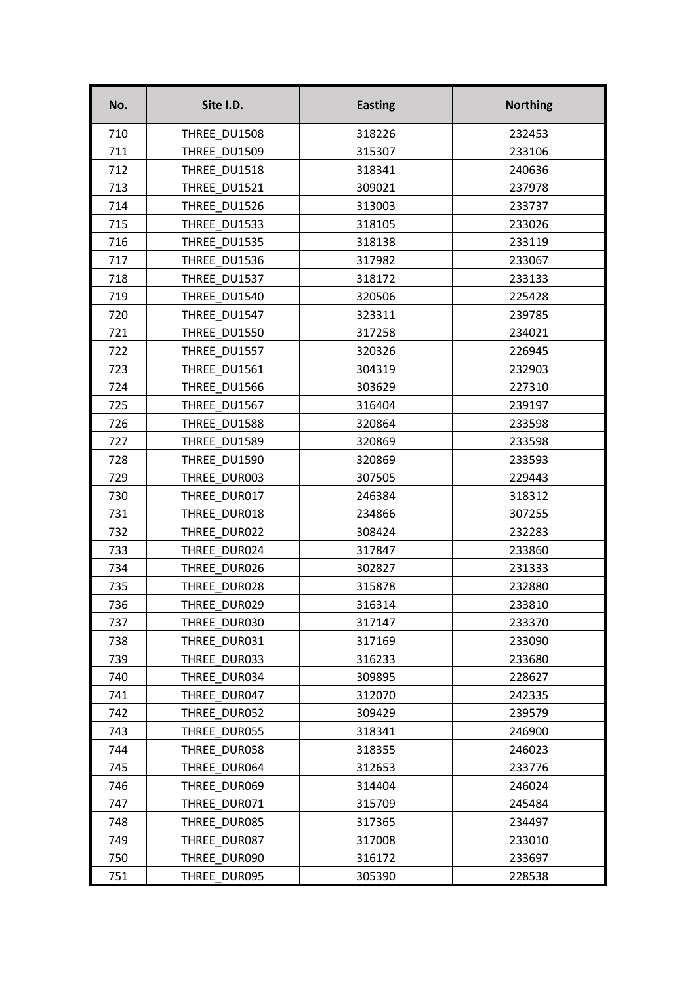| No. | Site I.D.    | <b>Easting</b> | <b>Northing</b> |
|-----|--------------|----------------|-----------------|
| 710 | THREE DU1508 | 318226         | 232453          |
| 711 | THREE DU1509 | 315307         | 233106          |
| 712 | THREE DU1518 | 318341         | 240636          |
| 713 | THREE DU1521 | 309021         | 237978          |
| 714 | THREE DU1526 | 313003         | 233737          |
| 715 | THREE DU1533 | 318105         | 233026          |
| 716 | THREE DU1535 | 318138         | 233119          |
| 717 | THREE DU1536 | 317982         | 233067          |
| 718 | THREE DU1537 | 318172         | 233133          |
| 719 | THREE DU1540 | 320506         | 225428          |
| 720 | THREE DU1547 | 323311         | 239785          |
| 721 | THREE DU1550 | 317258         | 234021          |
| 722 | THREE DU1557 | 320326         | 226945          |
| 723 | THREE DU1561 | 304319         | 232903          |
| 724 | THREE_DU1566 | 303629         | 227310          |
| 725 | THREE DU1567 | 316404         | 239197          |
| 726 | THREE DU1588 | 320864         | 233598          |
| 727 | THREE DU1589 | 320869         | 233598          |
| 728 | THREE DU1590 | 320869         | 233593          |
| 729 | THREE DUR003 | 307505         | 229443          |
| 730 | THREE DUR017 | 246384         | 318312          |
| 731 | THREE DUR018 | 234866         | 307255          |
| 732 | THREE DUR022 | 308424         | 232283          |
| 733 | THREE DUR024 | 317847         | 233860          |
| 734 | THREE DUR026 | 302827         | 231333          |
| 735 | THREE DUR028 | 315878         | 232880          |
| 736 | THREE_DUR029 | 316314         | 233810          |
| 737 | THREE DUR030 | 317147         | 233370          |
| 738 | THREE DUR031 | 317169         | 233090          |
| 739 | THREE DUR033 | 316233         | 233680          |
| 740 | THREE DUR034 | 309895         | 228627          |
| 741 | THREE DUR047 | 312070         | 242335          |
| 742 | THREE DUR052 | 309429         | 239579          |
| 743 | THREE DUR055 | 318341         | 246900          |
| 744 | THREE DUR058 | 318355         | 246023          |
| 745 | THREE DUR064 | 312653         | 233776          |
| 746 | THREE DUR069 | 314404         | 246024          |
| 747 | THREE DUR071 | 315709         | 245484          |
| 748 | THREE DUR085 | 317365         | 234497          |
| 749 | THREE DUR087 | 317008         | 233010          |
| 750 | THREE DUR090 | 316172         | 233697          |
| 751 | THREE DUR095 | 305390         | 228538          |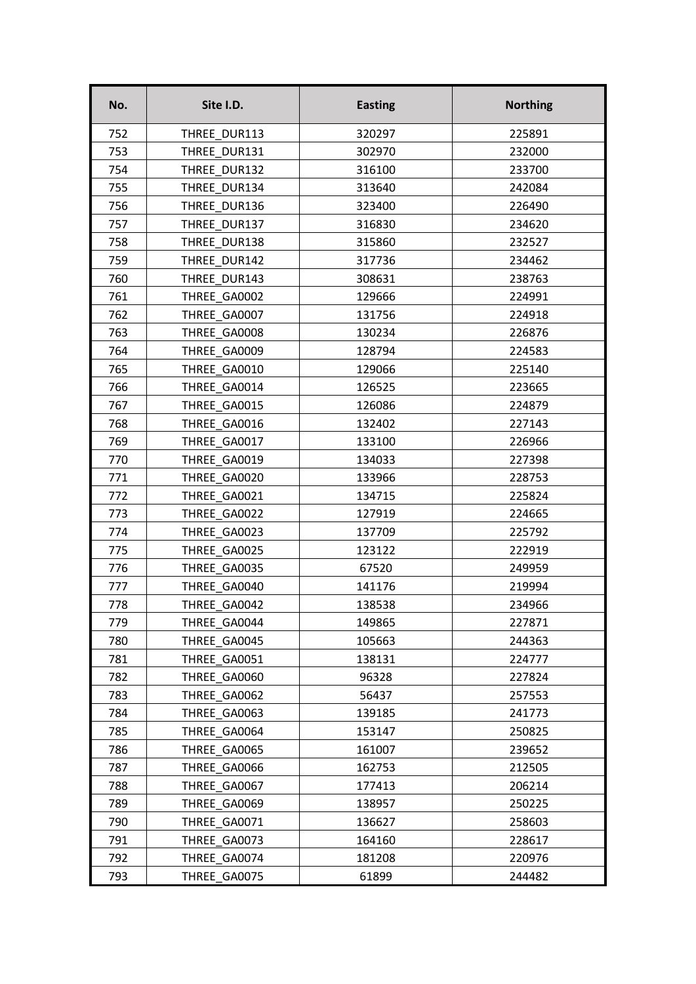| No. | Site I.D.    | <b>Easting</b> | <b>Northing</b> |
|-----|--------------|----------------|-----------------|
| 752 | THREE DUR113 | 320297         | 225891          |
| 753 | THREE DUR131 | 302970         | 232000          |
| 754 | THREE DUR132 | 316100         | 233700          |
| 755 | THREE DUR134 | 313640         | 242084          |
| 756 | THREE DUR136 | 323400         | 226490          |
| 757 | THREE DUR137 | 316830         | 234620          |
| 758 | THREE DUR138 | 315860         | 232527          |
| 759 | THREE DUR142 | 317736         | 234462          |
| 760 | THREE DUR143 | 308631         | 238763          |
| 761 | THREE GA0002 | 129666         | 224991          |
| 762 | THREE GA0007 | 131756         | 224918          |
| 763 | THREE GA0008 | 130234         | 226876          |
| 764 | THREE GA0009 | 128794         | 224583          |
| 765 | THREE GA0010 | 129066         | 225140          |
| 766 | THREE GA0014 | 126525         | 223665          |
| 767 | THREE GA0015 | 126086         | 224879          |
| 768 | THREE GA0016 | 132402         | 227143          |
| 769 | THREE GA0017 | 133100         | 226966          |
| 770 | THREE GA0019 | 134033         | 227398          |
| 771 | THREE GA0020 | 133966         | 228753          |
| 772 | THREE GA0021 | 134715         | 225824          |
| 773 | THREE GA0022 | 127919         | 224665          |
| 774 | THREE GA0023 | 137709         | 225792          |
| 775 | THREE GA0025 | 123122         | 222919          |
| 776 | THREE GA0035 | 67520          | 249959          |
| 777 | THREE GA0040 | 141176         | 219994          |
| 778 | THREE_GA0042 | 138538         | 234966          |
| 779 | THREE GA0044 | 149865         | 227871          |
| 780 | THREE GA0045 | 105663         | 244363          |
| 781 | THREE GA0051 | 138131         | 224777          |
| 782 | THREE GA0060 | 96328          | 227824          |
| 783 | THREE GA0062 | 56437          | 257553          |
| 784 | THREE GA0063 | 139185         | 241773          |
| 785 | THREE GA0064 | 153147         | 250825          |
| 786 | THREE GA0065 | 161007         | 239652          |
| 787 | THREE GA0066 | 162753         | 212505          |
| 788 | THREE GA0067 | 177413         | 206214          |
| 789 | THREE GA0069 | 138957         | 250225          |
| 790 | THREE GA0071 | 136627         | 258603          |
| 791 | THREE GA0073 | 164160         | 228617          |
| 792 | THREE GA0074 | 181208         | 220976          |
| 793 | THREE GA0075 | 61899          | 244482          |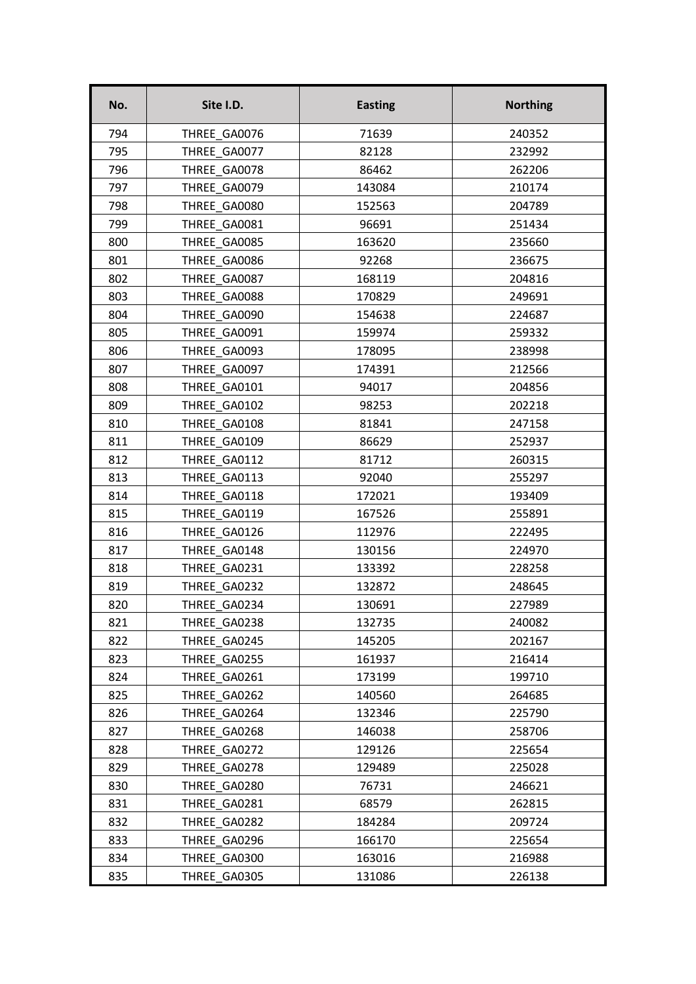| No. | Site I.D.    | <b>Easting</b> | <b>Northing</b> |
|-----|--------------|----------------|-----------------|
| 794 | THREE GA0076 | 71639          | 240352          |
| 795 | THREE GA0077 | 82128          | 232992          |
| 796 | THREE GA0078 | 86462          | 262206          |
| 797 | THREE GA0079 | 143084         | 210174          |
| 798 | THREE GA0080 | 152563         | 204789          |
| 799 | THREE GA0081 | 96691          | 251434          |
| 800 | THREE GA0085 | 163620         | 235660          |
| 801 | THREE GA0086 | 92268          | 236675          |
| 802 | THREE GA0087 | 168119         | 204816          |
| 803 | THREE GA0088 | 170829         | 249691          |
| 804 | THREE GA0090 | 154638         | 224687          |
| 805 | THREE GA0091 | 159974         | 259332          |
| 806 | THREE GA0093 | 178095         | 238998          |
| 807 | THREE GA0097 | 174391         | 212566          |
| 808 | THREE GA0101 | 94017          | 204856          |
| 809 | THREE GA0102 | 98253          | 202218          |
| 810 | THREE GA0108 | 81841          | 247158          |
| 811 | THREE GA0109 | 86629          | 252937          |
| 812 | THREE GA0112 | 81712          | 260315          |
| 813 | THREE GA0113 | 92040          | 255297          |
| 814 | THREE GA0118 | 172021         | 193409          |
| 815 | THREE GA0119 | 167526         | 255891          |
| 816 | THREE GA0126 | 112976         | 222495          |
| 817 | THREE GA0148 | 130156         | 224970          |
| 818 | THREE GA0231 | 133392         | 228258          |
| 819 | THREE GA0232 | 132872         | 248645          |
| 820 | THREE_GA0234 | 130691         | 227989          |
| 821 | THREE GA0238 | 132735         | 240082          |
| 822 | THREE GA0245 | 145205         | 202167          |
| 823 | THREE GA0255 | 161937         | 216414          |
| 824 | THREE GA0261 | 173199         | 199710          |
| 825 | THREE GA0262 | 140560         | 264685          |
| 826 | THREE GA0264 | 132346         | 225790          |
| 827 | THREE GA0268 | 146038         | 258706          |
| 828 | THREE GA0272 | 129126         | 225654          |
| 829 | THREE GA0278 | 129489         | 225028          |
| 830 | THREE GA0280 | 76731          | 246621          |
| 831 | THREE GA0281 | 68579          | 262815          |
| 832 | THREE GA0282 | 184284         | 209724          |
| 833 | THREE GA0296 | 166170         | 225654          |
| 834 | THREE GA0300 | 163016         | 216988          |
| 835 | THREE GA0305 | 131086         | 226138          |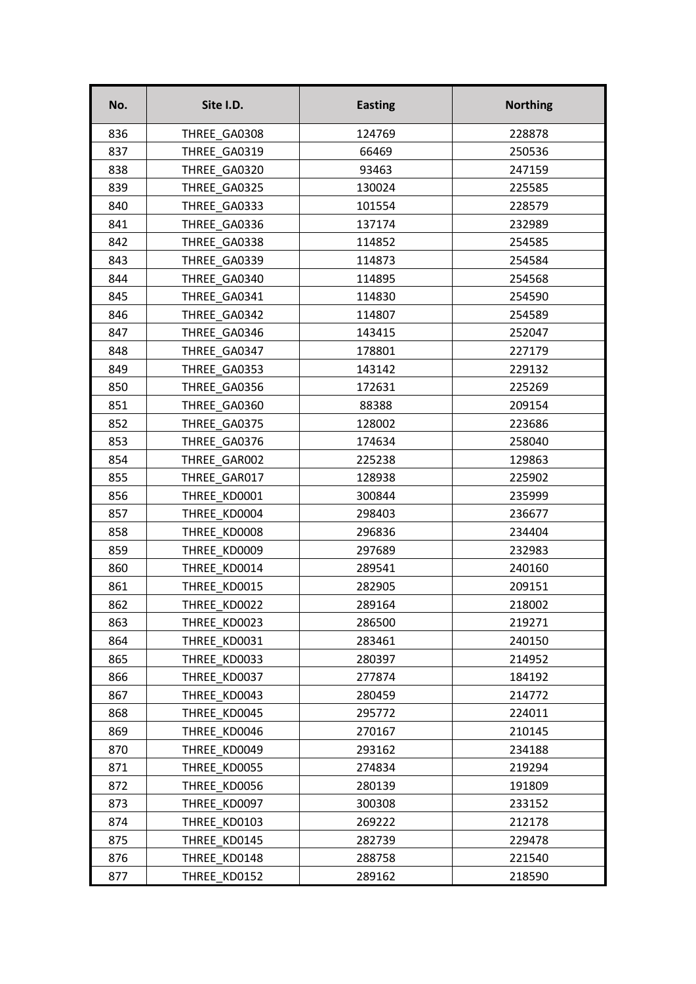| No. | Site I.D.    | <b>Easting</b> | <b>Northing</b> |
|-----|--------------|----------------|-----------------|
| 836 | THREE GA0308 | 124769         | 228878          |
| 837 | THREE GA0319 | 66469          | 250536          |
| 838 | THREE GA0320 | 93463          | 247159          |
| 839 | THREE GA0325 | 130024         | 225585          |
| 840 | THREE GA0333 | 101554         | 228579          |
| 841 | THREE GA0336 | 137174         | 232989          |
| 842 | THREE GA0338 | 114852         | 254585          |
| 843 | THREE GA0339 | 114873         | 254584          |
| 844 | THREE GA0340 | 114895         | 254568          |
| 845 | THREE GA0341 | 114830         | 254590          |
| 846 | THREE GA0342 | 114807         | 254589          |
| 847 | THREE GA0346 | 143415         | 252047          |
| 848 | THREE GA0347 | 178801         | 227179          |
| 849 | THREE GA0353 | 143142         | 229132          |
| 850 | THREE GA0356 | 172631         | 225269          |
| 851 | THREE GA0360 | 88388          | 209154          |
| 852 | THREE GA0375 | 128002         | 223686          |
| 853 | THREE GA0376 | 174634         | 258040          |
| 854 | THREE GAR002 | 225238         | 129863          |
| 855 | THREE GAR017 | 128938         | 225902          |
| 856 | THREE KD0001 | 300844         | 235999          |
| 857 | THREE KD0004 | 298403         | 236677          |
| 858 | THREE KD0008 | 296836         | 234404          |
| 859 | THREE KD0009 | 297689         | 232983          |
| 860 | THREE KD0014 | 289541         | 240160          |
| 861 | THREE KD0015 | 282905         | 209151          |
| 862 | THREE_KD0022 | 289164         | 218002          |
| 863 | THREE KD0023 | 286500         | 219271          |
| 864 | THREE KD0031 | 283461         | 240150          |
| 865 | THREE KD0033 | 280397         | 214952          |
| 866 | THREE KD0037 | 277874         | 184192          |
| 867 | THREE KD0043 | 280459         | 214772          |
| 868 | THREE KD0045 | 295772         | 224011          |
| 869 | THREE KD0046 | 270167         | 210145          |
| 870 | THREE KD0049 | 293162         | 234188          |
| 871 | THREE KD0055 | 274834         | 219294          |
| 872 | THREE KD0056 | 280139         | 191809          |
| 873 | THREE KD0097 | 300308         | 233152          |
| 874 | THREE KD0103 | 269222         | 212178          |
| 875 | THREE KD0145 | 282739         | 229478          |
| 876 | THREE KD0148 | 288758         | 221540          |
| 877 | THREE KD0152 | 289162         | 218590          |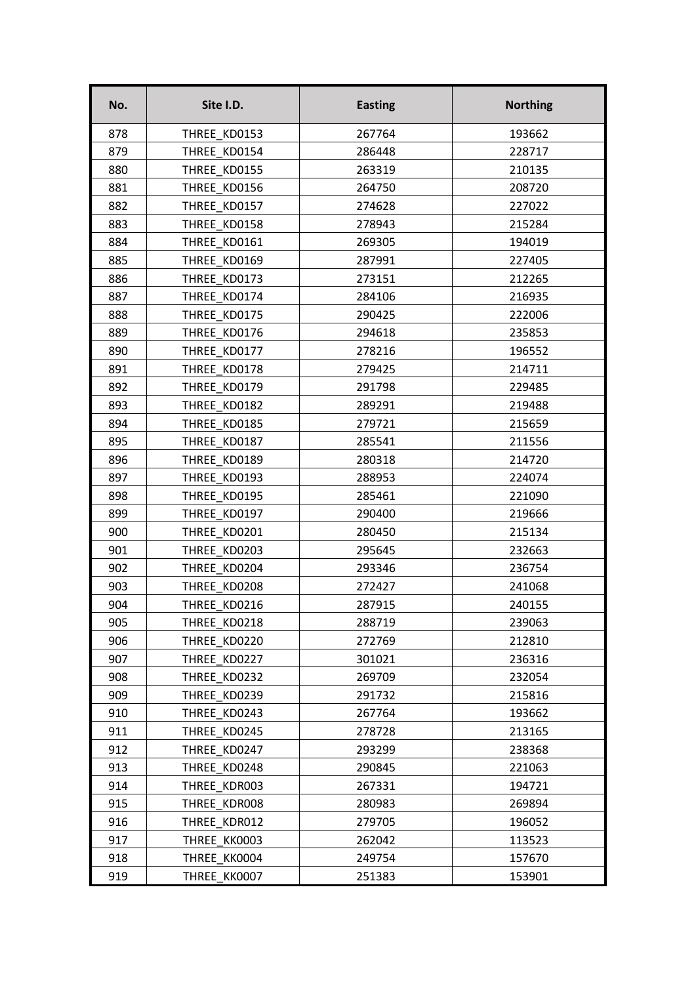| No. | Site I.D.    | <b>Easting</b> | <b>Northing</b> |
|-----|--------------|----------------|-----------------|
| 878 | THREE KD0153 | 267764         | 193662          |
| 879 | THREE KD0154 | 286448         | 228717          |
| 880 | THREE KD0155 | 263319         | 210135          |
| 881 | THREE KD0156 | 264750         | 208720          |
| 882 | THREE KD0157 | 274628         | 227022          |
| 883 | THREE KD0158 | 278943         | 215284          |
| 884 | THREE KD0161 | 269305         | 194019          |
| 885 | THREE KD0169 | 287991         | 227405          |
| 886 | THREE KD0173 | 273151         | 212265          |
| 887 | THREE KD0174 | 284106         | 216935          |
| 888 | THREE KD0175 | 290425         | 222006          |
| 889 | THREE KD0176 | 294618         | 235853          |
| 890 | THREE KD0177 | 278216         | 196552          |
| 891 | THREE KD0178 | 279425         | 214711          |
| 892 | THREE_KD0179 | 291798         | 229485          |
| 893 | THREE KD0182 | 289291         | 219488          |
| 894 | THREE KD0185 | 279721         | 215659          |
| 895 | THREE KD0187 | 285541         | 211556          |
| 896 | THREE KD0189 | 280318         | 214720          |
| 897 | THREE KD0193 | 288953         | 224074          |
| 898 | THREE KD0195 | 285461         | 221090          |
| 899 | THREE KD0197 | 290400         | 219666          |
| 900 | THREE KD0201 | 280450         | 215134          |
| 901 | THREE KD0203 | 295645         | 232663          |
| 902 | THREE KD0204 | 293346         | 236754          |
| 903 | THREE KD0208 | 272427         | 241068          |
| 904 | THREE_KD0216 | 287915         | 240155          |
| 905 | THREE KD0218 | 288719         | 239063          |
| 906 | THREE KD0220 | 272769         | 212810          |
| 907 | THREE KD0227 | 301021         | 236316          |
| 908 | THREE KD0232 | 269709         | 232054          |
| 909 | THREE KD0239 | 291732         | 215816          |
| 910 | THREE KD0243 | 267764         | 193662          |
| 911 | THREE KD0245 | 278728         | 213165          |
| 912 | THREE KD0247 | 293299         | 238368          |
| 913 | THREE KD0248 | 290845         | 221063          |
| 914 | THREE KDR003 | 267331         | 194721          |
| 915 | THREE KDR008 | 280983         | 269894          |
| 916 | THREE KDR012 | 279705         | 196052          |
| 917 | THREE KK0003 | 262042         | 113523          |
| 918 | THREE KK0004 | 249754         | 157670          |
| 919 | THREE KK0007 | 251383         | 153901          |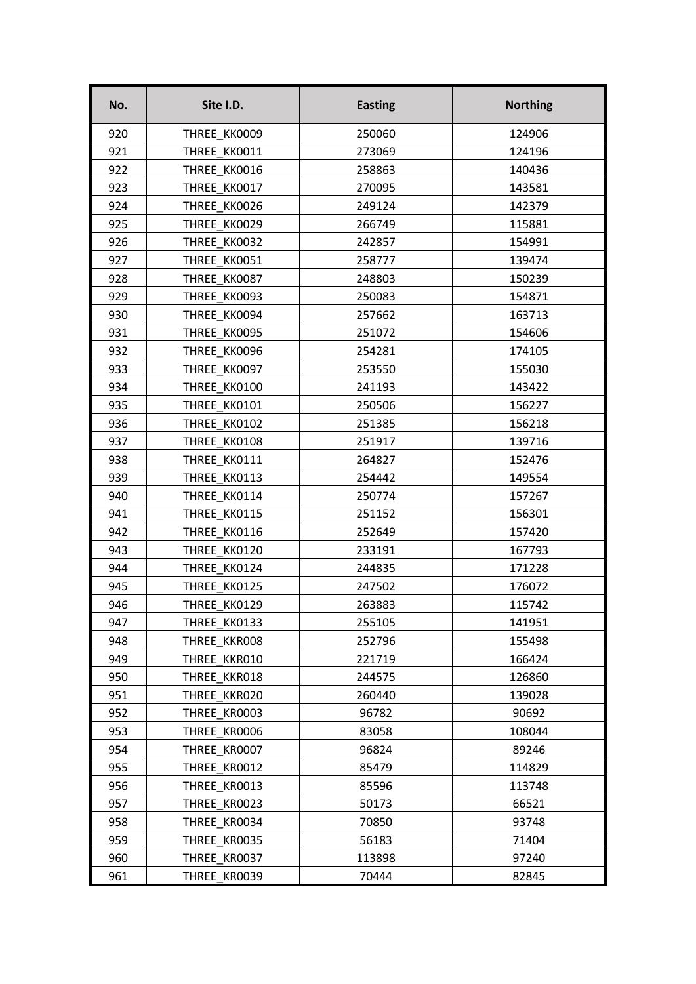| No. | Site I.D.    | <b>Easting</b> | <b>Northing</b> |
|-----|--------------|----------------|-----------------|
| 920 | THREE KK0009 | 250060         | 124906          |
| 921 | THREE KK0011 | 273069         | 124196          |
| 922 | THREE KK0016 | 258863         | 140436          |
| 923 | THREE KK0017 | 270095         | 143581          |
| 924 | THREE KK0026 | 249124         | 142379          |
| 925 | THREE KK0029 | 266749         | 115881          |
| 926 | THREE KK0032 | 242857         | 154991          |
| 927 | THREE KK0051 | 258777         | 139474          |
| 928 | THREE KK0087 | 248803         | 150239          |
| 929 | THREE KK0093 | 250083         | 154871          |
| 930 | THREE KK0094 | 257662         | 163713          |
| 931 | THREE KK0095 | 251072         | 154606          |
| 932 | THREE KK0096 | 254281         | 174105          |
| 933 | THREE KK0097 | 253550         | 155030          |
| 934 | THREE KK0100 | 241193         | 143422          |
| 935 | THREE KK0101 | 250506         | 156227          |
| 936 | THREE KK0102 | 251385         | 156218          |
| 937 | THREE KK0108 | 251917         | 139716          |
| 938 | THREE KK0111 | 264827         | 152476          |
| 939 | THREE KK0113 | 254442         | 149554          |
| 940 | THREE KK0114 | 250774         | 157267          |
| 941 | THREE KK0115 | 251152         | 156301          |
| 942 | THREE KK0116 | 252649         | 157420          |
| 943 | THREE KK0120 | 233191         | 167793          |
| 944 | THREE KK0124 | 244835         | 171228          |
| 945 | THREE KK0125 | 247502         | 176072          |
| 946 | THREE_KK0129 | 263883         | 115742          |
| 947 | THREE KK0133 | 255105         | 141951          |
| 948 | THREE KKROO8 | 252796         | 155498          |
| 949 | THREE KKR010 | 221719         | 166424          |
| 950 | THREE KKR018 | 244575         | 126860          |
| 951 | THREE KKR020 | 260440         | 139028          |
| 952 | THREE KR0003 | 96782          | 90692           |
| 953 | THREE KR0006 | 83058          | 108044          |
| 954 | THREE KR0007 | 96824          | 89246           |
| 955 | THREE KR0012 | 85479          | 114829          |
| 956 | THREE KR0013 | 85596          | 113748          |
| 957 | THREE KR0023 | 50173          | 66521           |
| 958 | THREE KR0034 | 70850          | 93748           |
| 959 | THREE KR0035 | 56183          | 71404           |
| 960 | THREE KR0037 | 113898         | 97240           |
| 961 | THREE KR0039 | 70444          | 82845           |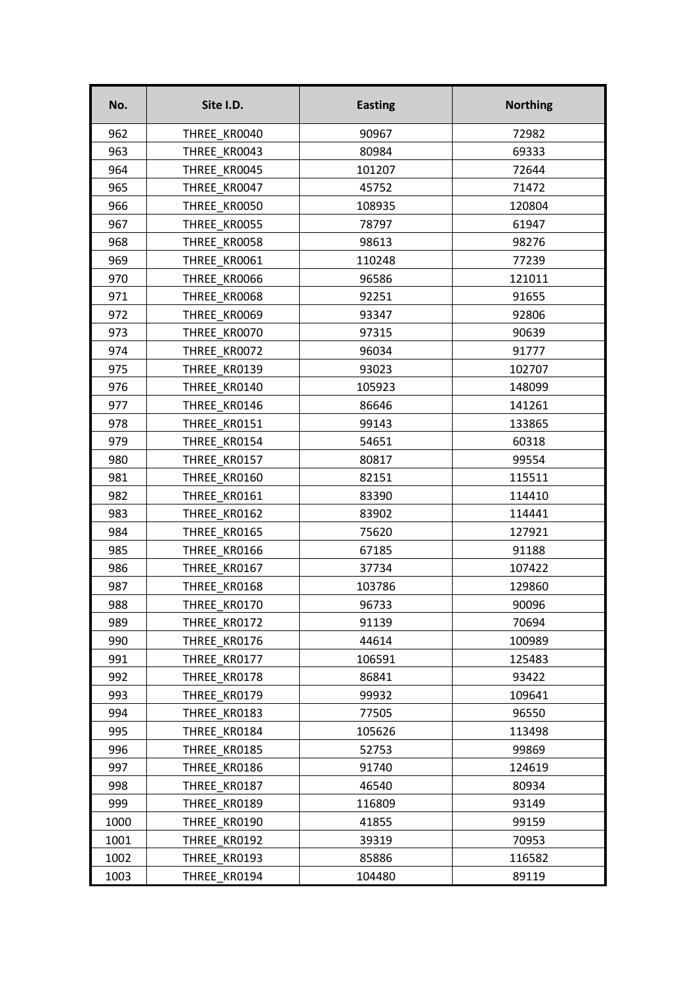| No.  | Site I.D.    | <b>Easting</b> | <b>Northing</b> |
|------|--------------|----------------|-----------------|
| 962  | THREE KR0040 | 90967          | 72982           |
| 963  | THREE KR0043 | 80984          | 69333           |
| 964  | THREE KR0045 | 101207         | 72644           |
| 965  | THREE KR0047 | 45752          | 71472           |
| 966  | THREE KR0050 | 108935         | 120804          |
| 967  | THREE KR0055 | 78797          | 61947           |
| 968  | THREE KR0058 | 98613          | 98276           |
| 969  | THREE KR0061 | 110248         | 77239           |
| 970  | THREE KR0066 | 96586          | 121011          |
| 971  | THREE KR0068 | 92251          | 91655           |
| 972  | THREE KR0069 | 93347          | 92806           |
| 973  | THREE KR0070 | 97315          | 90639           |
| 974  | THREE KR0072 | 96034          | 91777           |
| 975  | THREE KR0139 | 93023          | 102707          |
| 976  | THREE_KR0140 | 105923         | 148099          |
| 977  | THREE KR0146 | 86646          | 141261          |
| 978  | THREE KR0151 | 99143          | 133865          |
| 979  | THREE KR0154 | 54651          | 60318           |
| 980  | THREE KR0157 | 80817          | 99554           |
| 981  | THREE KR0160 | 82151          | 115511          |
| 982  | THREE KR0161 | 83390          | 114410          |
| 983  | THREE KR0162 | 83902          | 114441          |
| 984  | THREE KR0165 | 75620          | 127921          |
| 985  | THREE KR0166 | 67185          | 91188           |
| 986  | THREE KR0167 | 37734          | 107422          |
| 987  | THREE KR0168 | 103786         | 129860          |
| 988  | THREE_KR0170 | 96733          | 90096           |
| 989  | THREE KR0172 | 91139          | 70694           |
| 990  | THREE KR0176 | 44614          | 100989          |
| 991  | THREE KR0177 | 106591         | 125483          |
| 992  | THREE KR0178 | 86841          | 93422           |
| 993  | THREE KR0179 | 99932          | 109641          |
| 994  | THREE KR0183 | 77505          | 96550           |
| 995  | THREE KR0184 | 105626         | 113498          |
| 996  | THREE KR0185 | 52753          | 99869           |
| 997  | THREE KR0186 | 91740          | 124619          |
| 998  | THREE KR0187 | 46540          | 80934           |
| 999  | THREE KR0189 | 116809         | 93149           |
| 1000 | THREE KR0190 | 41855          | 99159           |
| 1001 | THREE KR0192 | 39319          | 70953           |
| 1002 | THREE KR0193 | 85886          | 116582          |
| 1003 | THREE KR0194 | 104480         | 89119           |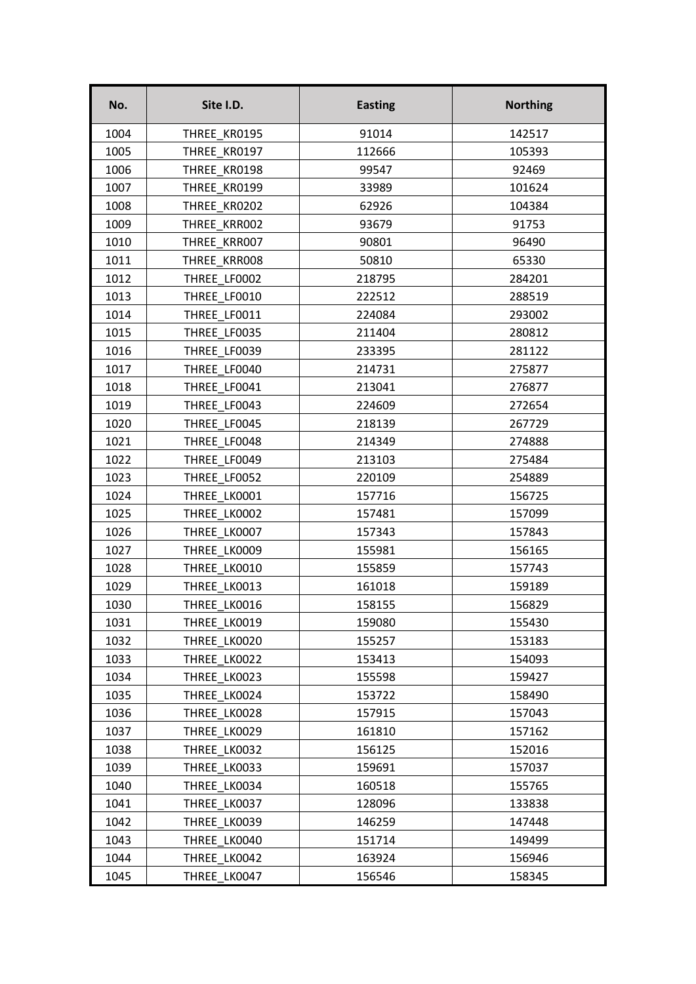| No.  | Site I.D.    | <b>Easting</b> | <b>Northing</b> |
|------|--------------|----------------|-----------------|
| 1004 | THREE KR0195 | 91014          | 142517          |
| 1005 | THREE KR0197 | 112666         | 105393          |
| 1006 | THREE KR0198 | 99547          | 92469           |
| 1007 | THREE KR0199 | 33989          | 101624          |
| 1008 | THREE KR0202 | 62926          | 104384          |
| 1009 | THREE KRR002 | 93679          | 91753           |
| 1010 | THREE KRR007 | 90801          | 96490           |
| 1011 | THREE_KRR008 | 50810          | 65330           |
| 1012 | THREE LF0002 | 218795         | 284201          |
| 1013 | THREE LF0010 | 222512         | 288519          |
| 1014 | THREE LF0011 | 224084         | 293002          |
| 1015 | THREE LF0035 | 211404         | 280812          |
| 1016 | THREE LF0039 | 233395         | 281122          |
| 1017 | THREE LF0040 | 214731         | 275877          |
| 1018 | THREE_LF0041 | 213041         | 276877          |
| 1019 | THREE LF0043 | 224609         | 272654          |
| 1020 | THREE LF0045 | 218139         | 267729          |
| 1021 | THREE LF0048 | 214349         | 274888          |
| 1022 | THREE LF0049 | 213103         | 275484          |
| 1023 | THREE LF0052 | 220109         | 254889          |
| 1024 | THREE LK0001 | 157716         | 156725          |
| 1025 | THREE LK0002 | 157481         | 157099          |
| 1026 | THREE LK0007 | 157343         | 157843          |
| 1027 | THREE LK0009 | 155981         | 156165          |
| 1028 | THREE LK0010 | 155859         | 157743          |
| 1029 | THREE LK0013 | 161018         | 159189          |
| 1030 | THREE_LK0016 | 158155         | 156829          |
| 1031 | THREE LK0019 | 159080         | 155430          |
| 1032 | THREE LK0020 | 155257         | 153183          |
| 1033 | THREE LK0022 | 153413         | 154093          |
| 1034 | THREE LK0023 | 155598         | 159427          |
| 1035 | THREE LK0024 | 153722         | 158490          |
| 1036 | THREE LK0028 | 157915         | 157043          |
| 1037 | THREE LK0029 | 161810         | 157162          |
| 1038 | THREE LK0032 | 156125         | 152016          |
| 1039 | THREE LK0033 | 159691         | 157037          |
| 1040 | THREE LK0034 | 160518         | 155765          |
| 1041 | THREE LK0037 | 128096         | 133838          |
| 1042 | THREE LK0039 | 146259         | 147448          |
| 1043 | THREE LK0040 | 151714         | 149499          |
| 1044 | THREE LK0042 | 163924         | 156946          |
| 1045 | THREE LK0047 | 156546         | 158345          |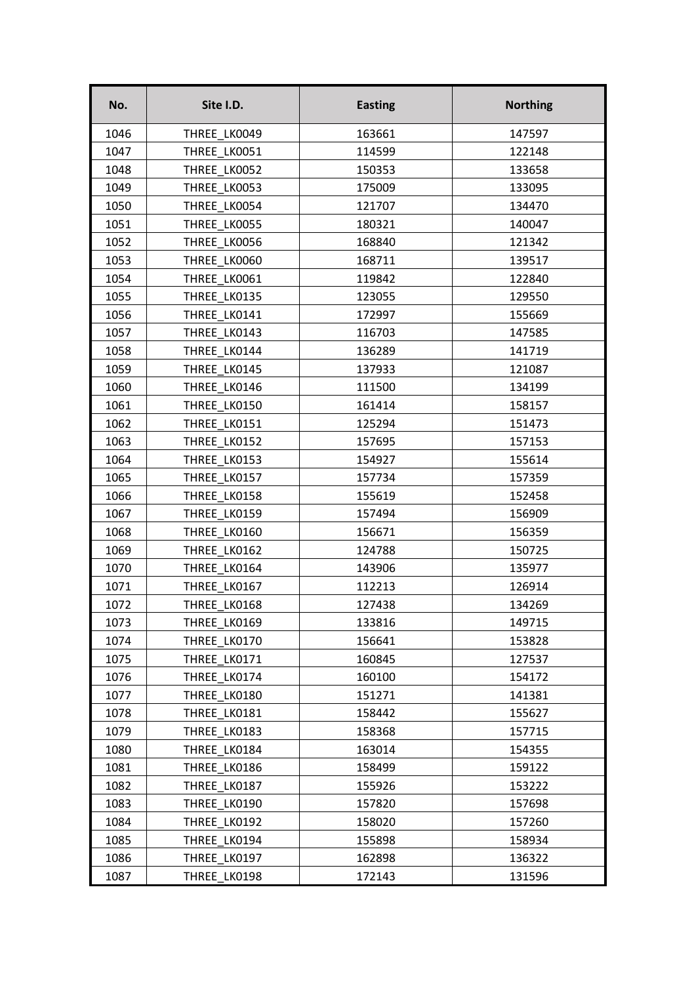| No.  | Site I.D.    | <b>Easting</b> | <b>Northing</b> |
|------|--------------|----------------|-----------------|
| 1046 | THREE LK0049 | 163661         | 147597          |
| 1047 | THREE LK0051 | 114599         | 122148          |
| 1048 | THREE LK0052 | 150353         | 133658          |
| 1049 | THREE LK0053 | 175009         | 133095          |
| 1050 | THREE LK0054 | 121707         | 134470          |
| 1051 | THREE LK0055 | 180321         | 140047          |
| 1052 | THREE LK0056 | 168840         | 121342          |
| 1053 | THREE LK0060 | 168711         | 139517          |
| 1054 | THREE LK0061 | 119842         | 122840          |
| 1055 | THREE LK0135 | 123055         | 129550          |
| 1056 | THREE LK0141 | 172997         | 155669          |
| 1057 | THREE LK0143 | 116703         | 147585          |
| 1058 | THREE LK0144 | 136289         | 141719          |
| 1059 | THREE LK0145 | 137933         | 121087          |
| 1060 | THREE LK0146 | 111500         | 134199          |
| 1061 | THREE LK0150 | 161414         | 158157          |
| 1062 | THREE LK0151 | 125294         | 151473          |
| 1063 | THREE LK0152 | 157695         | 157153          |
| 1064 | THREE LK0153 | 154927         | 155614          |
| 1065 | THREE LK0157 | 157734         | 157359          |
| 1066 | THREE LK0158 | 155619         | 152458          |
| 1067 | THREE LK0159 | 157494         | 156909          |
| 1068 | THREE LK0160 | 156671         | 156359          |
| 1069 | THREE LK0162 | 124788         | 150725          |
| 1070 | THREE LK0164 | 143906         | 135977          |
| 1071 | THREE LK0167 | 112213         | 126914          |
| 1072 | THREE_LK0168 | 127438         | 134269          |
| 1073 | THREE LK0169 | 133816         | 149715          |
| 1074 | THREE LK0170 | 156641         | 153828          |
| 1075 | THREE LK0171 | 160845         | 127537          |
| 1076 | THREE LK0174 | 160100         | 154172          |
| 1077 | THREE LK0180 | 151271         | 141381          |
| 1078 | THREE LK0181 | 158442         | 155627          |
| 1079 | THREE LK0183 | 158368         | 157715          |
| 1080 | THREE LK0184 | 163014         | 154355          |
| 1081 | THREE LK0186 | 158499         | 159122          |
| 1082 | THREE LK0187 | 155926         | 153222          |
| 1083 | THREE LK0190 | 157820         | 157698          |
| 1084 | THREE LK0192 | 158020         | 157260          |
| 1085 | THREE LK0194 | 155898         | 158934          |
| 1086 | THREE LK0197 | 162898         | 136322          |
| 1087 | THREE LK0198 | 172143         | 131596          |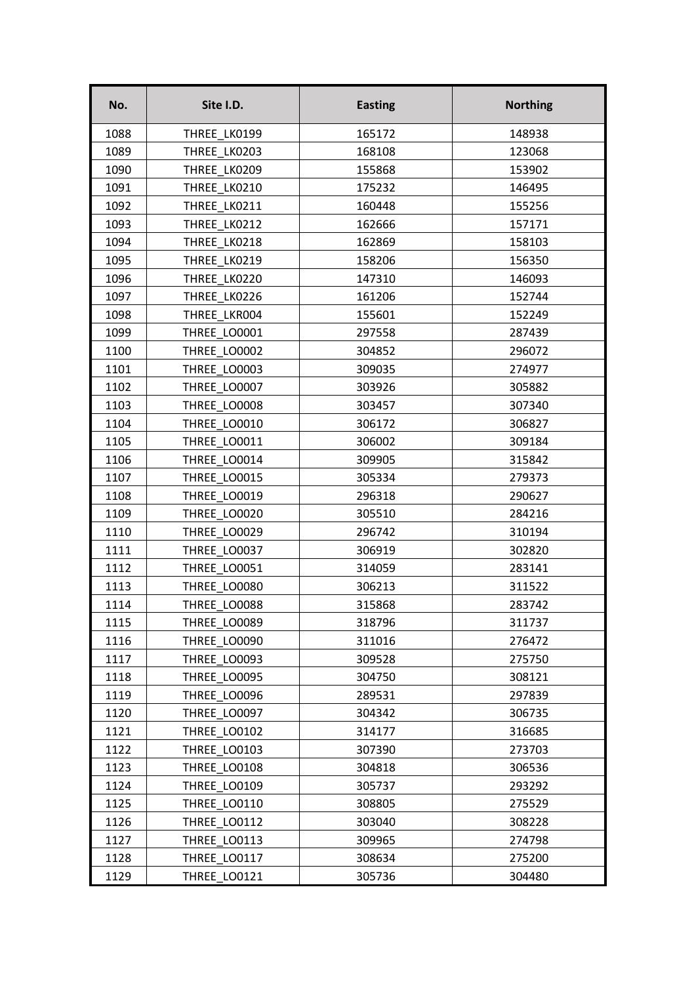| No.  | Site I.D.    | <b>Easting</b> | <b>Northing</b> |
|------|--------------|----------------|-----------------|
| 1088 | THREE LK0199 | 165172         | 148938          |
| 1089 | THREE LK0203 | 168108         | 123068          |
| 1090 | THREE LK0209 | 155868         | 153902          |
| 1091 | THREE LK0210 | 175232         | 146495          |
| 1092 | THREE LK0211 | 160448         | 155256          |
| 1093 | THREE LK0212 | 162666         | 157171          |
| 1094 | THREE LK0218 | 162869         | 158103          |
| 1095 | THREE LK0219 | 158206         | 156350          |
| 1096 | THREE LK0220 | 147310         | 146093          |
| 1097 | THREE LK0226 | 161206         | 152744          |
| 1098 | THREE LKR004 | 155601         | 152249          |
| 1099 | THREE LO0001 | 297558         | 287439          |
| 1100 | THREE LO0002 | 304852         | 296072          |
| 1101 | THREE LO0003 | 309035         | 274977          |
| 1102 | THREE LO0007 | 303926         | 305882          |
| 1103 | THREE LO0008 | 303457         | 307340          |
| 1104 | THREE LO0010 | 306172         | 306827          |
| 1105 | THREE LO0011 | 306002         | 309184          |
| 1106 | THREE LO0014 | 309905         | 315842          |
| 1107 | THREE LO0015 | 305334         | 279373          |
| 1108 | THREE LO0019 | 296318         | 290627          |
| 1109 | THREE LO0020 | 305510         | 284216          |
| 1110 | THREE LO0029 | 296742         | 310194          |
| 1111 | THREE LO0037 | 306919         | 302820          |
| 1112 | THREE LO0051 | 314059         | 283141          |
| 1113 | THREE LO0080 | 306213         | 311522          |
| 1114 | THREE_LO0088 | 315868         | 283742          |
| 1115 | THREE LO0089 | 318796         | 311737          |
| 1116 | THREE LO0090 | 311016         | 276472          |
| 1117 | THREE_LO0093 | 309528         | 275750          |
| 1118 | THREE LO0095 | 304750         | 308121          |
| 1119 | THREE LO0096 | 289531         | 297839          |
| 1120 | THREE LO0097 | 304342         | 306735          |
| 1121 | THREE LO0102 | 314177         | 316685          |
| 1122 | THREE LO0103 | 307390         | 273703          |
| 1123 | THREE LO0108 | 304818         | 306536          |
| 1124 | THREE LO0109 | 305737         | 293292          |
| 1125 | THREE LO0110 | 308805         | 275529          |
| 1126 | THREE LO0112 | 303040         | 308228          |
| 1127 | THREE LO0113 | 309965         | 274798          |
| 1128 | THREE LO0117 | 308634         | 275200          |
| 1129 | THREE LO0121 | 305736         | 304480          |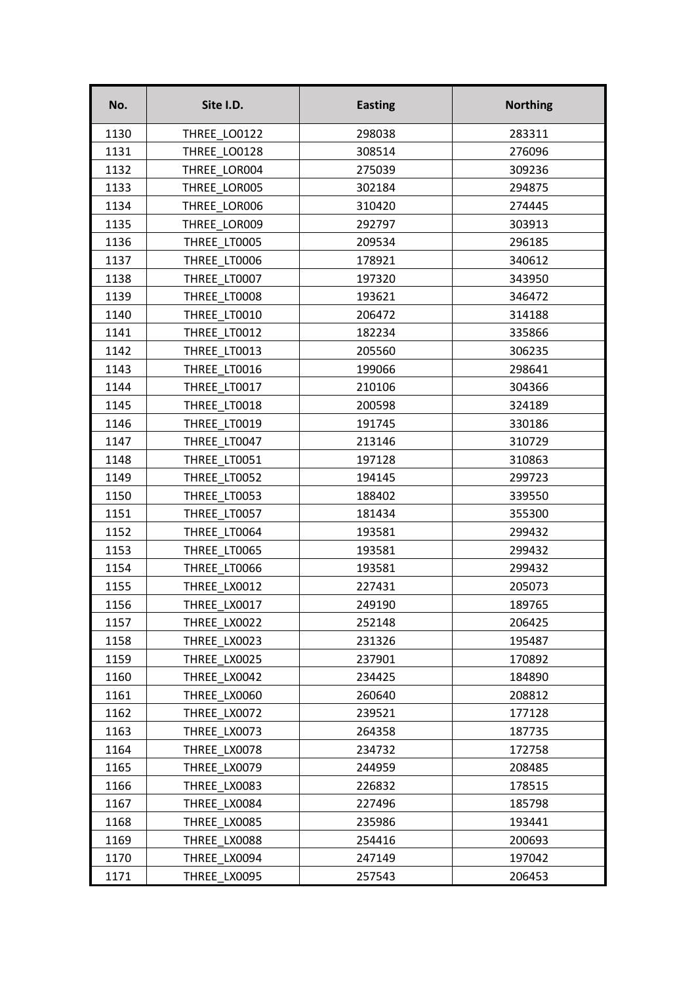| No.  | Site I.D.    | <b>Easting</b> | <b>Northing</b> |
|------|--------------|----------------|-----------------|
| 1130 | THREE LO0122 | 298038         | 283311          |
| 1131 | THREE LO0128 | 308514         | 276096          |
| 1132 | THREE LOR004 | 275039         | 309236          |
| 1133 | THREE LOR005 | 302184         | 294875          |
| 1134 | THREE LOR006 | 310420         | 274445          |
| 1135 | THREE LOR009 | 292797         | 303913          |
| 1136 | THREE LT0005 | 209534         | 296185          |
| 1137 | THREE LT0006 | 178921         | 340612          |
| 1138 | THREE LT0007 | 197320         | 343950          |
| 1139 | THREE LT0008 | 193621         | 346472          |
| 1140 | THREE LT0010 | 206472         | 314188          |
| 1141 | THREE LT0012 | 182234         | 335866          |
| 1142 | THREE LT0013 | 205560         | 306235          |
| 1143 | THREE LT0016 | 199066         | 298641          |
| 1144 | THREE LT0017 | 210106         | 304366          |
| 1145 | THREE LT0018 | 200598         | 324189          |
| 1146 | THREE LT0019 | 191745         | 330186          |
| 1147 | THREE LT0047 | 213146         | 310729          |
| 1148 | THREE LT0051 | 197128         | 310863          |
| 1149 | THREE LT0052 | 194145         | 299723          |
| 1150 | THREE LT0053 | 188402         | 339550          |
| 1151 | THREE LT0057 | 181434         | 355300          |
| 1152 | THREE LT0064 | 193581         | 299432          |
| 1153 | THREE LT0065 | 193581         | 299432          |
| 1154 | THREE LT0066 | 193581         | 299432          |
| 1155 | THREE LX0012 | 227431         | 205073          |
| 1156 | THREE LX0017 | 249190         | 189765          |
| 1157 | THREE LX0022 | 252148         | 206425          |
| 1158 | THREE LX0023 | 231326         | 195487          |
| 1159 | THREE LX0025 | 237901         | 170892          |
| 1160 | THREE LX0042 | 234425         | 184890          |
| 1161 | THREE LX0060 | 260640         | 208812          |
| 1162 | THREE LX0072 | 239521         | 177128          |
| 1163 | THREE LX0073 | 264358         | 187735          |
| 1164 | THREE LX0078 | 234732         | 172758          |
| 1165 | THREE LX0079 | 244959         | 208485          |
| 1166 | THREE LX0083 | 226832         | 178515          |
| 1167 | THREE LX0084 | 227496         | 185798          |
| 1168 | THREE LX0085 | 235986         | 193441          |
| 1169 | THREE LX0088 | 254416         | 200693          |
| 1170 | THREE LX0094 | 247149         | 197042          |
| 1171 | THREE LX0095 | 257543         | 206453          |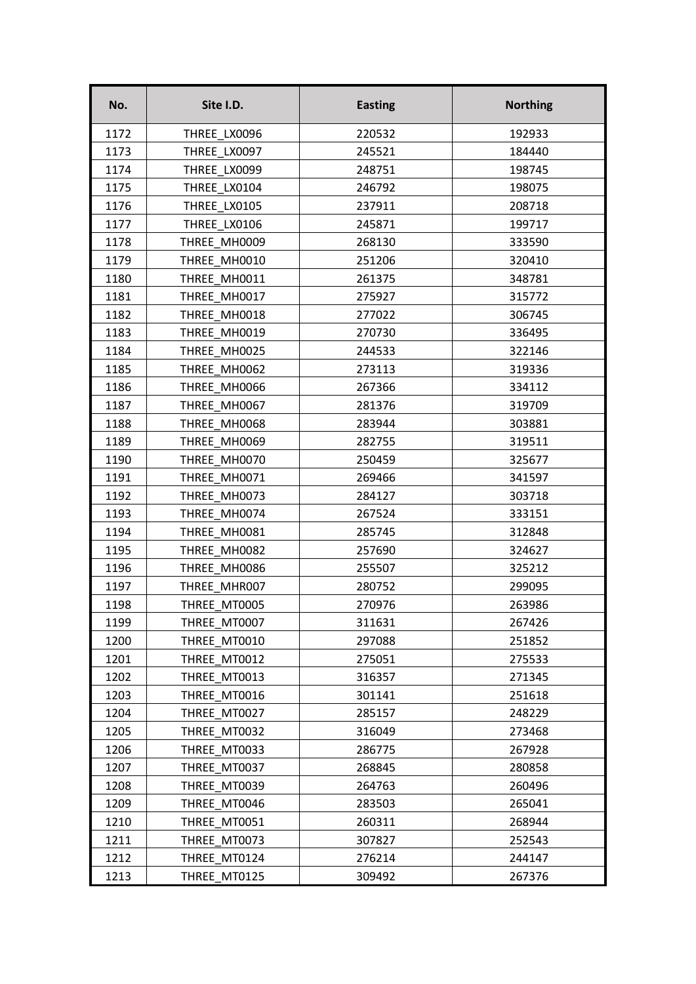| No.  | Site I.D.    | <b>Easting</b> | <b>Northing</b> |
|------|--------------|----------------|-----------------|
| 1172 | THREE LX0096 | 220532         | 192933          |
| 1173 | THREE LX0097 | 245521         | 184440          |
| 1174 | THREE LX0099 | 248751         | 198745          |
| 1175 | THREE LX0104 | 246792         | 198075          |
| 1176 | THREE LX0105 | 237911         | 208718          |
| 1177 | THREE LX0106 | 245871         | 199717          |
| 1178 | THREE MH0009 | 268130         | 333590          |
| 1179 | THREE MH0010 | 251206         | 320410          |
| 1180 | THREE MH0011 | 261375         | 348781          |
| 1181 | THREE MH0017 | 275927         | 315772          |
| 1182 | THREE MH0018 | 277022         | 306745          |
| 1183 | THREE MH0019 | 270730         | 336495          |
| 1184 | THREE MH0025 | 244533         | 322146          |
| 1185 | THREE MH0062 | 273113         | 319336          |
| 1186 | THREE MH0066 | 267366         | 334112          |
| 1187 | THREE MH0067 | 281376         | 319709          |
| 1188 | THREE MH0068 | 283944         | 303881          |
| 1189 | THREE MH0069 | 282755         | 319511          |
| 1190 | THREE MH0070 | 250459         | 325677          |
| 1191 | THREE MH0071 | 269466         | 341597          |
| 1192 | THREE MH0073 | 284127         | 303718          |
| 1193 | THREE MH0074 | 267524         | 333151          |
| 1194 | THREE MH0081 | 285745         | 312848          |
| 1195 | THREE MH0082 | 257690         | 324627          |
| 1196 | THREE MH0086 | 255507         | 325212          |
| 1197 | THREE MHR007 | 280752         | 299095          |
| 1198 | THREE MT0005 | 270976         | 263986          |
| 1199 | THREE MT0007 | 311631         | 267426          |
| 1200 | THREE MT0010 | 297088         | 251852          |
| 1201 | THREE MT0012 | 275051         | 275533          |
| 1202 | THREE MT0013 | 316357         | 271345          |
| 1203 | THREE MT0016 | 301141         | 251618          |
| 1204 | THREE MT0027 | 285157         | 248229          |
| 1205 | THREE MT0032 | 316049         | 273468          |
| 1206 | THREE MT0033 | 286775         | 267928          |
| 1207 | THREE MT0037 | 268845         | 280858          |
| 1208 | THREE MT0039 | 264763         | 260496          |
| 1209 | THREE MT0046 | 283503         | 265041          |
| 1210 | THREE MT0051 | 260311         | 268944          |
| 1211 | THREE MT0073 | 307827         | 252543          |
| 1212 | THREE MT0124 | 276214         | 244147          |
| 1213 | THREE MT0125 | 309492         | 267376          |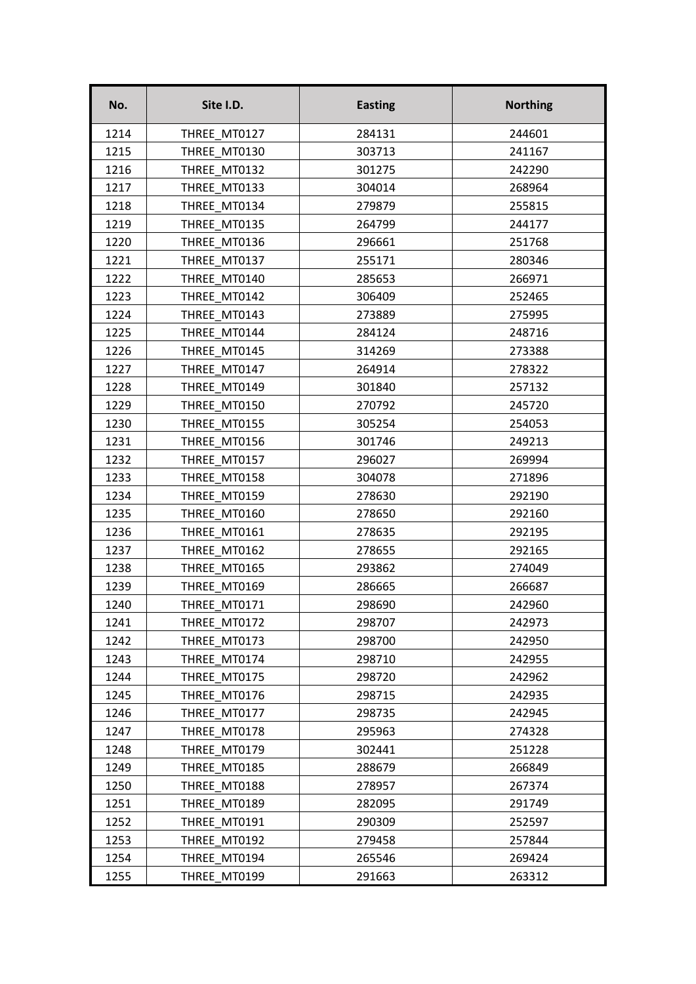| No.  | Site I.D.    | <b>Easting</b> | <b>Northing</b> |
|------|--------------|----------------|-----------------|
| 1214 | THREE MT0127 | 284131         | 244601          |
| 1215 | THREE MT0130 | 303713         | 241167          |
| 1216 | THREE MT0132 | 301275         | 242290          |
| 1217 | THREE MT0133 | 304014         | 268964          |
| 1218 | THREE MT0134 | 279879         | 255815          |
| 1219 | THREE MT0135 | 264799         | 244177          |
| 1220 | THREE MT0136 | 296661         | 251768          |
| 1221 | THREE MT0137 | 255171         | 280346          |
| 1222 | THREE MT0140 | 285653         | 266971          |
| 1223 | THREE MT0142 | 306409         | 252465          |
| 1224 | THREE MT0143 | 273889         | 275995          |
| 1225 | THREE MT0144 | 284124         | 248716          |
| 1226 | THREE MT0145 | 314269         | 273388          |
| 1227 | THREE MT0147 | 264914         | 278322          |
| 1228 | THREE MT0149 | 301840         | 257132          |
| 1229 | THREE MT0150 | 270792         | 245720          |
| 1230 | THREE MT0155 | 305254         | 254053          |
| 1231 | THREE MT0156 | 301746         | 249213          |
| 1232 | THREE MT0157 | 296027         | 269994          |
| 1233 | THREE MT0158 | 304078         | 271896          |
| 1234 | THREE MT0159 | 278630         | 292190          |
| 1235 | THREE MT0160 | 278650         | 292160          |
| 1236 | THREE MT0161 | 278635         | 292195          |
| 1237 | THREE MT0162 | 278655         | 292165          |
| 1238 | THREE MT0165 | 293862         | 274049          |
| 1239 | THREE MT0169 | 286665         | 266687          |
| 1240 | THREE_MT0171 | 298690         | 242960          |
| 1241 | THREE MT0172 | 298707         | 242973          |
| 1242 | THREE MT0173 | 298700         | 242950          |
| 1243 | THREE MT0174 | 298710         | 242955          |
| 1244 | THREE MT0175 | 298720         | 242962          |
| 1245 | THREE MT0176 | 298715         | 242935          |
| 1246 | THREE MT0177 | 298735         | 242945          |
| 1247 | THREE MT0178 | 295963         | 274328          |
| 1248 | THREE MT0179 | 302441         | 251228          |
| 1249 | THREE MT0185 | 288679         | 266849          |
| 1250 | THREE MT0188 | 278957         | 267374          |
| 1251 | THREE MT0189 | 282095         | 291749          |
| 1252 | THREE MT0191 | 290309         | 252597          |
| 1253 | THREE MT0192 | 279458         | 257844          |
| 1254 | THREE MT0194 | 265546         | 269424          |
| 1255 | THREE MT0199 | 291663         | 263312          |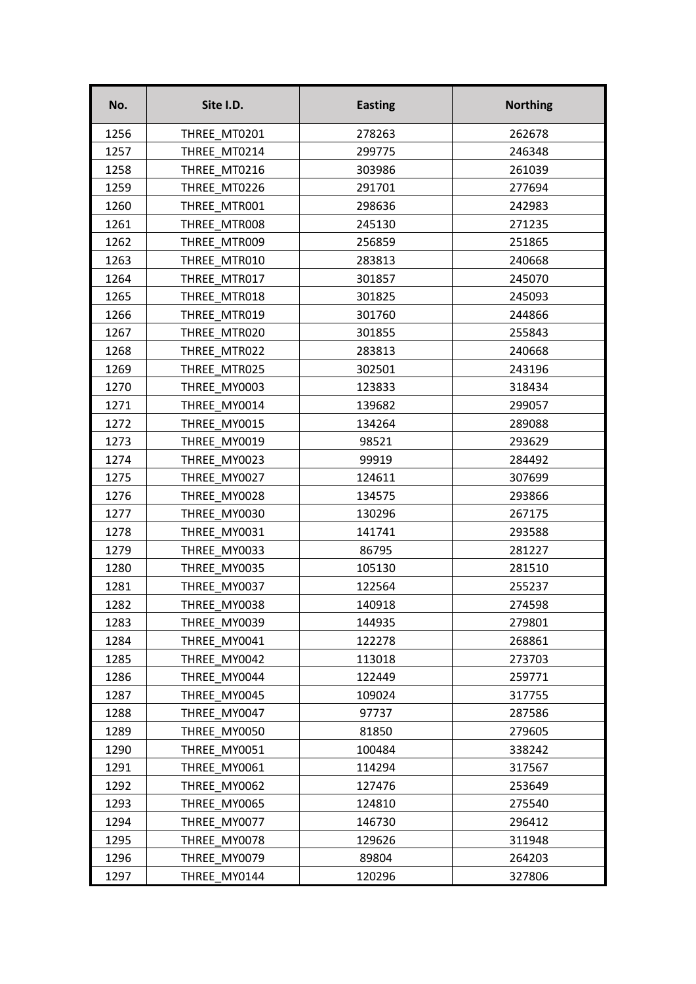| No.  | Site I.D.    | <b>Easting</b> | <b>Northing</b> |
|------|--------------|----------------|-----------------|
| 1256 | THREE MT0201 | 278263         | 262678          |
| 1257 | THREE MT0214 | 299775         | 246348          |
| 1258 | THREE MT0216 | 303986         | 261039          |
| 1259 | THREE MT0226 | 291701         | 277694          |
| 1260 | THREE MTR001 | 298636         | 242983          |
| 1261 | THREE MTR008 | 245130         | 271235          |
| 1262 | THREE MTR009 | 256859         | 251865          |
| 1263 | THREE MTR010 | 283813         | 240668          |
| 1264 | THREE MTR017 | 301857         | 245070          |
| 1265 | THREE MTR018 | 301825         | 245093          |
| 1266 | THREE MTR019 | 301760         | 244866          |
| 1267 | THREE MTR020 | 301855         | 255843          |
| 1268 | THREE MTR022 | 283813         | 240668          |
| 1269 | THREE MTR025 | 302501         | 243196          |
| 1270 | THREE MY0003 | 123833         | 318434          |
| 1271 | THREE MY0014 | 139682         | 299057          |
| 1272 | THREE MY0015 | 134264         | 289088          |
| 1273 | THREE MY0019 | 98521          | 293629          |
| 1274 | THREE MY0023 | 99919          | 284492          |
| 1275 | THREE MY0027 | 124611         | 307699          |
| 1276 | THREE MY0028 | 134575         | 293866          |
| 1277 | THREE MY0030 | 130296         | 267175          |
| 1278 | THREE MY0031 | 141741         | 293588          |
| 1279 | THREE MY0033 | 86795          | 281227          |
| 1280 | THREE MY0035 | 105130         | 281510          |
| 1281 | THREE MY0037 | 122564         | 255237          |
| 1282 | THREE MY0038 | 140918         | 274598          |
| 1283 | THREE MY0039 | 144935         | 279801          |
| 1284 | THREE MY0041 | 122278         | 268861          |
| 1285 | THREE MY0042 | 113018         | 273703          |
| 1286 | THREE MY0044 | 122449         | 259771          |
| 1287 | THREE MY0045 | 109024         | 317755          |
| 1288 | THREE MY0047 | 97737          | 287586          |
| 1289 | THREE MY0050 | 81850          | 279605          |
| 1290 | THREE MY0051 | 100484         | 338242          |
| 1291 | THREE MY0061 | 114294         | 317567          |
| 1292 | THREE MY0062 | 127476         | 253649          |
| 1293 | THREE MY0065 | 124810         | 275540          |
| 1294 | THREE MY0077 | 146730         | 296412          |
| 1295 | THREE MY0078 | 129626         | 311948          |
| 1296 | THREE MY0079 | 89804          | 264203          |
| 1297 | THREE MY0144 | 120296         | 327806          |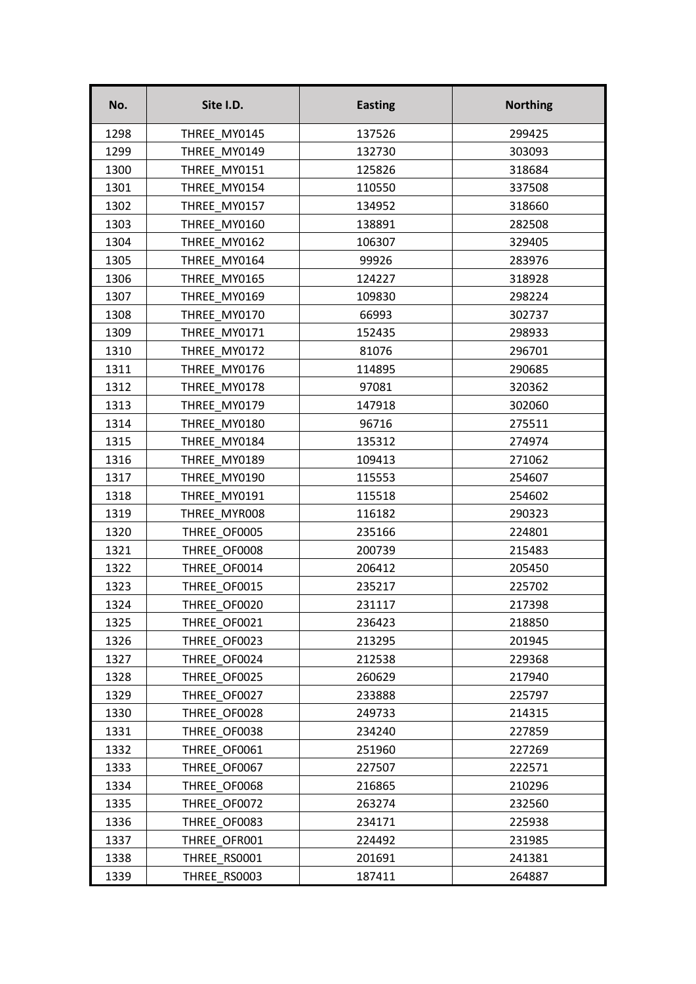| No.  | Site I.D.    | <b>Easting</b> | <b>Northing</b> |
|------|--------------|----------------|-----------------|
| 1298 | THREE MY0145 | 137526         | 299425          |
| 1299 | THREE MY0149 | 132730         | 303093          |
| 1300 | THREE MY0151 | 125826         | 318684          |
| 1301 | THREE MY0154 | 110550         | 337508          |
| 1302 | THREE MY0157 | 134952         | 318660          |
| 1303 | THREE MY0160 | 138891         | 282508          |
| 1304 | THREE MY0162 | 106307         | 329405          |
| 1305 | THREE MY0164 | 99926          | 283976          |
| 1306 | THREE MY0165 | 124227         | 318928          |
| 1307 | THREE MY0169 | 109830         | 298224          |
| 1308 | THREE MY0170 | 66993          | 302737          |
| 1309 | THREE MY0171 | 152435         | 298933          |
| 1310 | THREE MY0172 | 81076          | 296701          |
| 1311 | THREE MY0176 | 114895         | 290685          |
| 1312 | THREE MY0178 | 97081          | 320362          |
| 1313 | THREE MY0179 | 147918         | 302060          |
| 1314 | THREE MY0180 | 96716          | 275511          |
| 1315 | THREE MY0184 | 135312         | 274974          |
| 1316 | THREE_MY0189 | 109413         | 271062          |
| 1317 | THREE MY0190 | 115553         | 254607          |
| 1318 | THREE MY0191 | 115518         | 254602          |
| 1319 | THREE MYR008 | 116182         | 290323          |
| 1320 | THREE OF0005 | 235166         | 224801          |
| 1321 | THREE OF0008 | 200739         | 215483          |
| 1322 | THREE OF0014 | 206412         | 205450          |
| 1323 | THREE OF0015 | 235217         | 225702          |
| 1324 | THREE_OF0020 | 231117         | 217398          |
| 1325 | THREE OF0021 | 236423         | 218850          |
| 1326 | THREE OF0023 | 213295         | 201945          |
| 1327 | THREE OF0024 | 212538         | 229368          |
| 1328 | THREE OF0025 | 260629         | 217940          |
| 1329 | THREE OF0027 | 233888         | 225797          |
| 1330 | THREE OF0028 | 249733         | 214315          |
| 1331 | THREE OF0038 | 234240         | 227859          |
| 1332 | THREE OF0061 | 251960         | 227269          |
| 1333 | THREE OF0067 | 227507         | 222571          |
| 1334 | THREE OF0068 | 216865         | 210296          |
| 1335 | THREE OF0072 | 263274         | 232560          |
| 1336 | THREE OF0083 | 234171         | 225938          |
| 1337 | THREE OFR001 | 224492         | 231985          |
| 1338 | THREE RS0001 | 201691         | 241381          |
| 1339 | THREE RS0003 | 187411         | 264887          |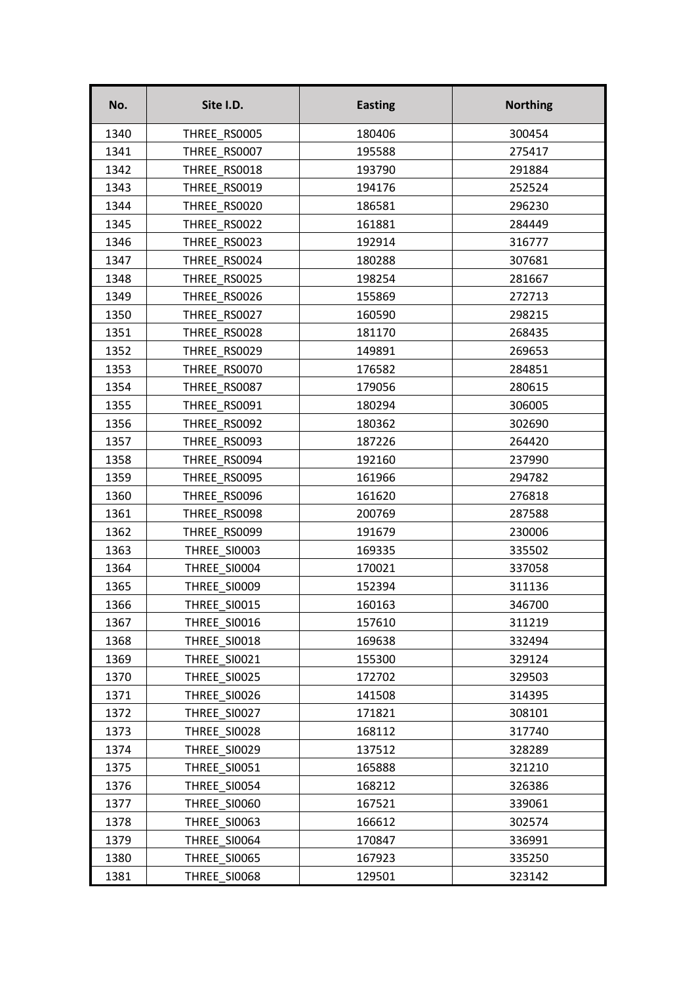| No.  | Site I.D.           | <b>Easting</b> | <b>Northing</b> |
|------|---------------------|----------------|-----------------|
| 1340 | THREE RS0005        | 180406         | 300454          |
| 1341 | THREE RS0007        | 195588         | 275417          |
| 1342 | THREE RS0018        | 193790         | 291884          |
| 1343 | THREE RS0019        | 194176         | 252524          |
| 1344 | THREE RS0020        | 186581         | 296230          |
| 1345 | THREE RS0022        | 161881         | 284449          |
| 1346 | THREE RS0023        | 192914         | 316777          |
| 1347 | THREE RS0024        | 180288         | 307681          |
| 1348 | THREE RS0025        | 198254         | 281667          |
| 1349 | THREE RS0026        | 155869         | 272713          |
| 1350 | THREE RS0027        | 160590         | 298215          |
| 1351 | THREE RS0028        | 181170         | 268435          |
| 1352 | THREE RS0029        | 149891         | 269653          |
| 1353 | THREE RS0070        | 176582         | 284851          |
| 1354 | THREE RS0087        | 179056         | 280615          |
| 1355 | THREE RS0091        | 180294         | 306005          |
| 1356 | THREE RS0092        | 180362         | 302690          |
| 1357 | THREE RS0093        | 187226         | 264420          |
| 1358 | THREE RS0094        | 192160         | 237990          |
| 1359 | THREE RS0095        | 161966         | 294782          |
| 1360 | THREE RS0096        | 161620         | 276818          |
| 1361 | THREE RS0098        | 200769         | 287588          |
| 1362 | THREE RS0099        | 191679         | 230006          |
| 1363 | <b>THREE SI0003</b> | 169335         | 335502          |
| 1364 | THREE SI0004        | 170021         | 337058          |
| 1365 | THREE SI0009        | 152394         | 311136          |
| 1366 | <b>THREE SI0015</b> | 160163         | 346700          |
| 1367 | THREE SI0016        | 157610         | 311219          |
| 1368 | THREE SI0018        | 169638         | 332494          |
| 1369 | THREE SI0021        | 155300         | 329124          |
| 1370 | <b>THREE_SI0025</b> | 172702         | 329503          |
| 1371 | THREE SI0026        | 141508         | 314395          |
| 1372 | THREE SI0027        | 171821         | 308101          |
| 1373 | THREE SI0028        | 168112         | 317740          |
| 1374 | THREE SI0029        | 137512         | 328289          |
| 1375 | THREE SI0051        | 165888         | 321210          |
| 1376 | THREE SI0054        | 168212         | 326386          |
| 1377 | THREE SI0060        | 167521         | 339061          |
| 1378 | THREE SI0063        | 166612         | 302574          |
| 1379 | THREE SI0064        | 170847         | 336991          |
| 1380 | THREE SI0065        | 167923         | 335250          |
| 1381 | THREE SI0068        | 129501         | 323142          |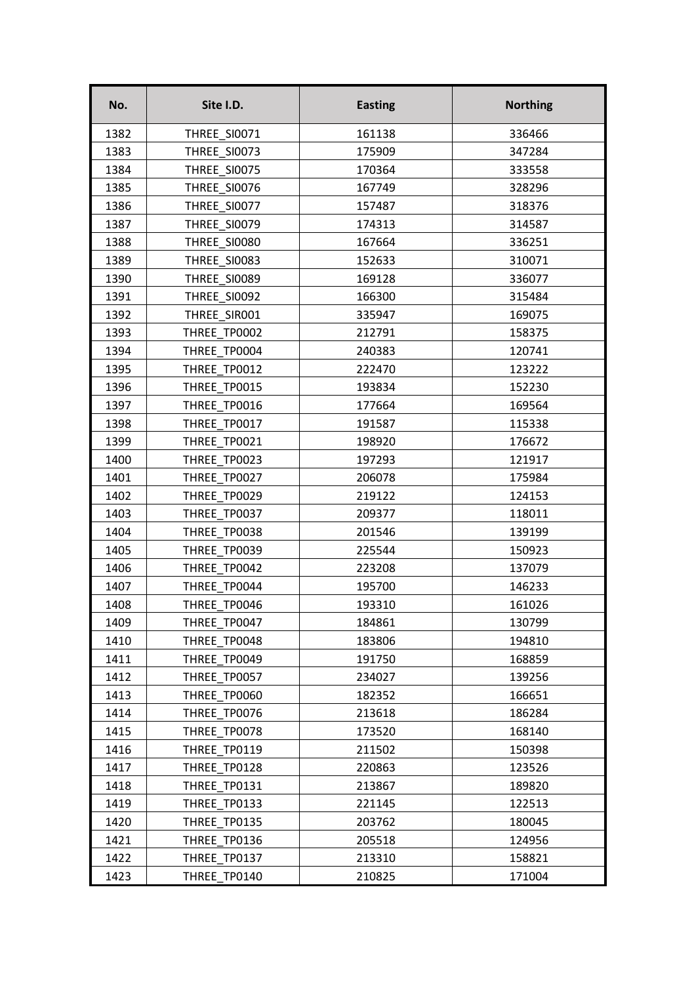| No.  | Site I.D.           | <b>Easting</b> | <b>Northing</b> |
|------|---------------------|----------------|-----------------|
| 1382 | <b>THREE SI0071</b> | 161138         | 336466          |
| 1383 | THREE SI0073        | 175909         | 347284          |
| 1384 | THREE SI0075        | 170364         | 333558          |
| 1385 | THREE SI0076        | 167749         | 328296          |
| 1386 | THREE SI0077        | 157487         | 318376          |
| 1387 | THREE SI0079        | 174313         | 314587          |
| 1388 | THREE SI0080        | 167664         | 336251          |
| 1389 | THREE SI0083        | 152633         | 310071          |
| 1390 | THREE SI0089        | 169128         | 336077          |
| 1391 | THREE SI0092        | 166300         | 315484          |
| 1392 | THREE SIRO01        | 335947         | 169075          |
| 1393 | THREE TP0002        | 212791         | 158375          |
| 1394 | THREE TP0004        | 240383         | 120741          |
| 1395 | THREE TP0012        | 222470         | 123222          |
| 1396 | THREE TP0015        | 193834         | 152230          |
| 1397 | THREE TP0016        | 177664         | 169564          |
| 1398 | THREE TP0017        | 191587         | 115338          |
| 1399 | THREE TP0021        | 198920         | 176672          |
| 1400 | THREE TP0023        | 197293         | 121917          |
| 1401 | THREE_TP0027        | 206078         | 175984          |
| 1402 | THREE TP0029        | 219122         | 124153          |
| 1403 | THREE TP0037        | 209377         | 118011          |
| 1404 | THREE TP0038        | 201546         | 139199          |
| 1405 | THREE TP0039        | 225544         | 150923          |
| 1406 | THREE TP0042        | 223208         | 137079          |
| 1407 | THREE TP0044        | 195700         | 146233          |
| 1408 | THREE_TP0046        | 193310         | 161026          |
| 1409 | THREE TP0047        | 184861         | 130799          |
| 1410 | THREE TP0048        | 183806         | 194810          |
| 1411 | THREE TP0049        | 191750         | 168859          |
| 1412 | THREE TP0057        | 234027         | 139256          |
| 1413 | THREE TP0060        | 182352         | 166651          |
| 1414 | THREE TP0076        | 213618         | 186284          |
| 1415 | THREE TP0078        | 173520         | 168140          |
| 1416 | THREE TP0119        | 211502         | 150398          |
| 1417 | THREE TP0128        | 220863         | 123526          |
| 1418 | THREE_TP0131        | 213867         | 189820          |
| 1419 | THREE TP0133        | 221145         | 122513          |
| 1420 | THREE TP0135        | 203762         | 180045          |
| 1421 | THREE TP0136        | 205518         | 124956          |
| 1422 | THREE TP0137        | 213310         | 158821          |
| 1423 | THREE TP0140        | 210825         | 171004          |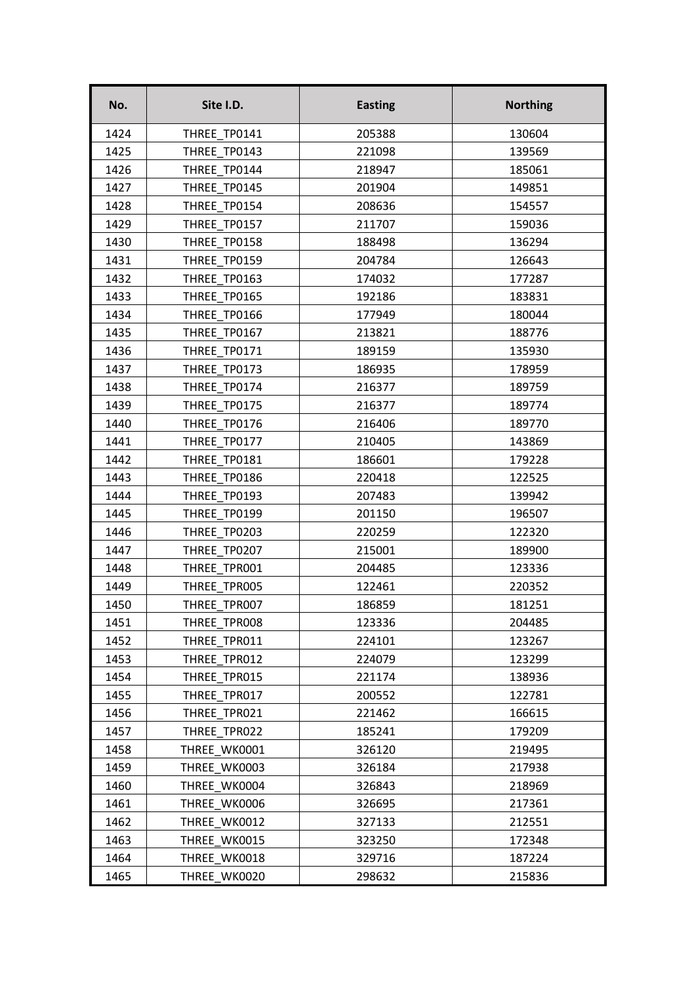| No.  | Site I.D.    | <b>Easting</b> | <b>Northing</b> |
|------|--------------|----------------|-----------------|
| 1424 | THREE TP0141 | 205388         | 130604          |
| 1425 | THREE TP0143 | 221098         | 139569          |
| 1426 | THREE TP0144 | 218947         | 185061          |
| 1427 | THREE TP0145 | 201904         | 149851          |
| 1428 | THREE TP0154 | 208636         | 154557          |
| 1429 | THREE TP0157 | 211707         | 159036          |
| 1430 | THREE TP0158 | 188498         | 136294          |
| 1431 | THREE_TP0159 | 204784         | 126643          |
| 1432 | THREE TP0163 | 174032         | 177287          |
| 1433 | THREE TP0165 | 192186         | 183831          |
| 1434 | THREE TP0166 | 177949         | 180044          |
| 1435 | THREE TP0167 | 213821         | 188776          |
| 1436 | THREE TP0171 | 189159         | 135930          |
| 1437 | THREE TP0173 | 186935         | 178959          |
| 1438 | THREE TP0174 | 216377         | 189759          |
| 1439 | THREE TP0175 | 216377         | 189774          |
| 1440 | THREE TP0176 | 216406         | 189770          |
| 1441 | THREE TP0177 | 210405         | 143869          |
| 1442 | THREE TP0181 | 186601         | 179228          |
| 1443 | THREE TP0186 | 220418         | 122525          |
| 1444 | THREE TP0193 | 207483         | 139942          |
| 1445 | THREE TP0199 | 201150         | 196507          |
| 1446 | THREE TP0203 | 220259         | 122320          |
| 1447 | THREE TP0207 | 215001         | 189900          |
| 1448 | THREE TPR001 | 204485         | 123336          |
| 1449 | THREE TPROO5 | 122461         | 220352          |
| 1450 | THREE_TPR007 | 186859         | 181251          |
| 1451 | THREE TPROO8 | 123336         | 204485          |
| 1452 | THREE TPR011 | 224101         | 123267          |
| 1453 | THREE TPR012 | 224079         | 123299          |
| 1454 | THREE TPR015 | 221174         | 138936          |
| 1455 | THREE TPR017 | 200552         | 122781          |
| 1456 | THREE TPR021 | 221462         | 166615          |
| 1457 | THREE TPR022 | 185241         | 179209          |
| 1458 | THREE WK0001 | 326120         | 219495          |
| 1459 | THREE WK0003 | 326184         | 217938          |
| 1460 | THREE WK0004 | 326843         | 218969          |
| 1461 | THREE WK0006 | 326695         | 217361          |
| 1462 | THREE WK0012 | 327133         | 212551          |
| 1463 | THREE WK0015 | 323250         | 172348          |
| 1464 | THREE WK0018 | 329716         | 187224          |
| 1465 | THREE WK0020 | 298632         | 215836          |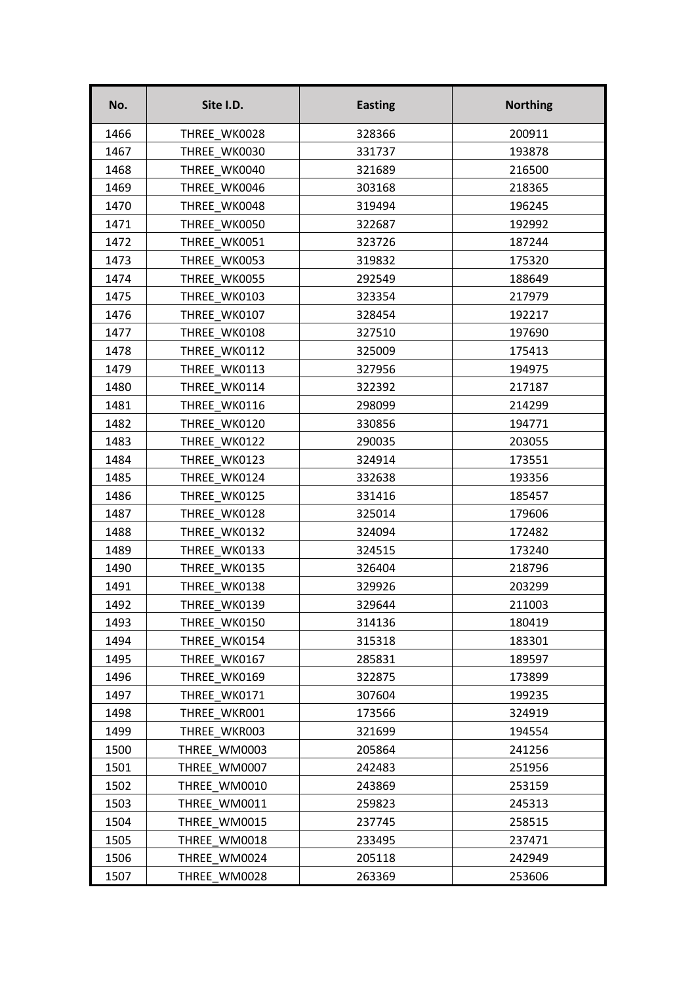| No.  | Site I.D.    | <b>Easting</b> | <b>Northing</b> |
|------|--------------|----------------|-----------------|
| 1466 | THREE WK0028 | 328366         | 200911          |
| 1467 | THREE WK0030 | 331737         | 193878          |
| 1468 | THREE WK0040 | 321689         | 216500          |
| 1469 | THREE WK0046 | 303168         | 218365          |
| 1470 | THREE WK0048 | 319494         | 196245          |
| 1471 | THREE WK0050 | 322687         | 192992          |
| 1472 | THREE WK0051 | 323726         | 187244          |
| 1473 | THREE WK0053 | 319832         | 175320          |
| 1474 | THREE WK0055 | 292549         | 188649          |
| 1475 | THREE WK0103 | 323354         | 217979          |
| 1476 | THREE WK0107 | 328454         | 192217          |
| 1477 | THREE WK0108 | 327510         | 197690          |
| 1478 | THREE WK0112 | 325009         | 175413          |
| 1479 | THREE WK0113 | 327956         | 194975          |
| 1480 | THREE WK0114 | 322392         | 217187          |
| 1481 | THREE WK0116 | 298099         | 214299          |
| 1482 | THREE WK0120 | 330856         | 194771          |
| 1483 | THREE WK0122 | 290035         | 203055          |
| 1484 | THREE WK0123 | 324914         | 173551          |
| 1485 | THREE WK0124 | 332638         | 193356          |
| 1486 | THREE WK0125 | 331416         | 185457          |
| 1487 | THREE WK0128 | 325014         | 179606          |
| 1488 | THREE WK0132 | 324094         | 172482          |
| 1489 | THREE WK0133 | 324515         | 173240          |
| 1490 | THREE WK0135 | 326404         | 218796          |
| 1491 | THREE WK0138 | 329926         | 203299          |
| 1492 | THREE_WK0139 | 329644         | 211003          |
| 1493 | THREE WK0150 | 314136         | 180419          |
| 1494 | THREE WK0154 | 315318         | 183301          |
| 1495 | THREE WK0167 | 285831         | 189597          |
| 1496 | THREE WK0169 | 322875         | 173899          |
| 1497 | THREE WK0171 | 307604         | 199235          |
| 1498 | THREE WKR001 | 173566         | 324919          |
| 1499 | THREE WKR003 | 321699         | 194554          |
| 1500 | THREE WM0003 | 205864         | 241256          |
| 1501 | THREE WM0007 | 242483         | 251956          |
| 1502 | THREE WM0010 | 243869         | 253159          |
| 1503 | THREE WM0011 | 259823         | 245313          |
| 1504 | THREE WM0015 | 237745         | 258515          |
| 1505 | THREE WM0018 | 233495         | 237471          |
| 1506 | THREE WM0024 | 205118         | 242949          |
| 1507 | THREE WM0028 | 263369         | 253606          |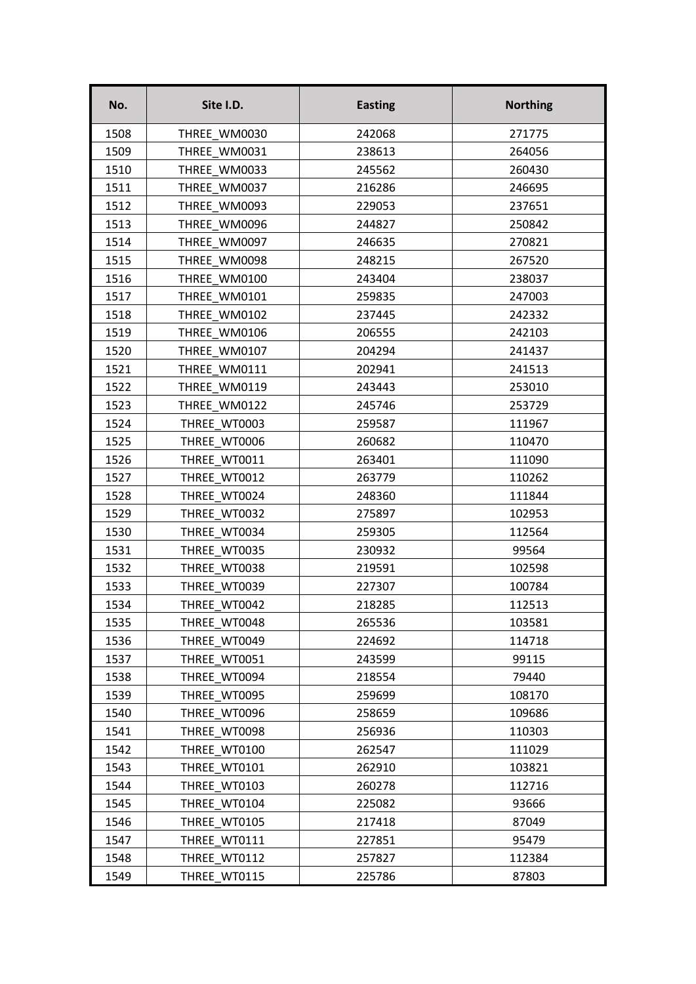| No.  | Site I.D.    | <b>Easting</b> | <b>Northing</b> |
|------|--------------|----------------|-----------------|
| 1508 | THREE WM0030 | 242068         | 271775          |
| 1509 | THREE WM0031 | 238613         | 264056          |
| 1510 | THREE WM0033 | 245562         | 260430          |
| 1511 | THREE WM0037 | 216286         | 246695          |
| 1512 | THREE WM0093 | 229053         | 237651          |
| 1513 | THREE WM0096 | 244827         | 250842          |
| 1514 | THREE WM0097 | 246635         | 270821          |
| 1515 | THREE WM0098 | 248215         | 267520          |
| 1516 | THREE WM0100 | 243404         | 238037          |
| 1517 | THREE WM0101 | 259835         | 247003          |
| 1518 | THREE WM0102 | 237445         | 242332          |
| 1519 | THREE WM0106 | 206555         | 242103          |
| 1520 | THREE WM0107 | 204294         | 241437          |
| 1521 | THREE WM0111 | 202941         | 241513          |
| 1522 | THREE WM0119 | 243443         | 253010          |
| 1523 | THREE WM0122 | 245746         | 253729          |
| 1524 | THREE WT0003 | 259587         | 111967          |
| 1525 | THREE WT0006 | 260682         | 110470          |
| 1526 | THREE WT0011 | 263401         | 111090          |
| 1527 | THREE WT0012 | 263779         | 110262          |
| 1528 | THREE WT0024 | 248360         | 111844          |
| 1529 | THREE WT0032 | 275897         | 102953          |
| 1530 | THREE WT0034 | 259305         | 112564          |
| 1531 | THREE WT0035 | 230932         | 99564           |
| 1532 | THREE WT0038 | 219591         | 102598          |
| 1533 | THREE WT0039 | 227307         | 100784          |
| 1534 | THREE_WT0042 | 218285         | 112513          |
| 1535 | THREE WT0048 | 265536         | 103581          |
| 1536 | THREE WT0049 | 224692         | 114718          |
| 1537 | THREE WT0051 | 243599         | 99115           |
| 1538 | THREE WT0094 | 218554         | 79440           |
| 1539 | THREE WT0095 | 259699         | 108170          |
| 1540 | THREE WT0096 | 258659         | 109686          |
| 1541 | THREE WT0098 | 256936         | 110303          |
| 1542 | THREE WT0100 | 262547         | 111029          |
| 1543 | THREE WT0101 | 262910         | 103821          |
| 1544 | THREE WT0103 | 260278         | 112716          |
| 1545 | THREE WT0104 | 225082         | 93666           |
| 1546 | THREE WT0105 | 217418         | 87049           |
| 1547 | THREE WT0111 | 227851         | 95479           |
| 1548 | THREE WT0112 | 257827         | 112384          |
| 1549 | THREE WT0115 | 225786         | 87803           |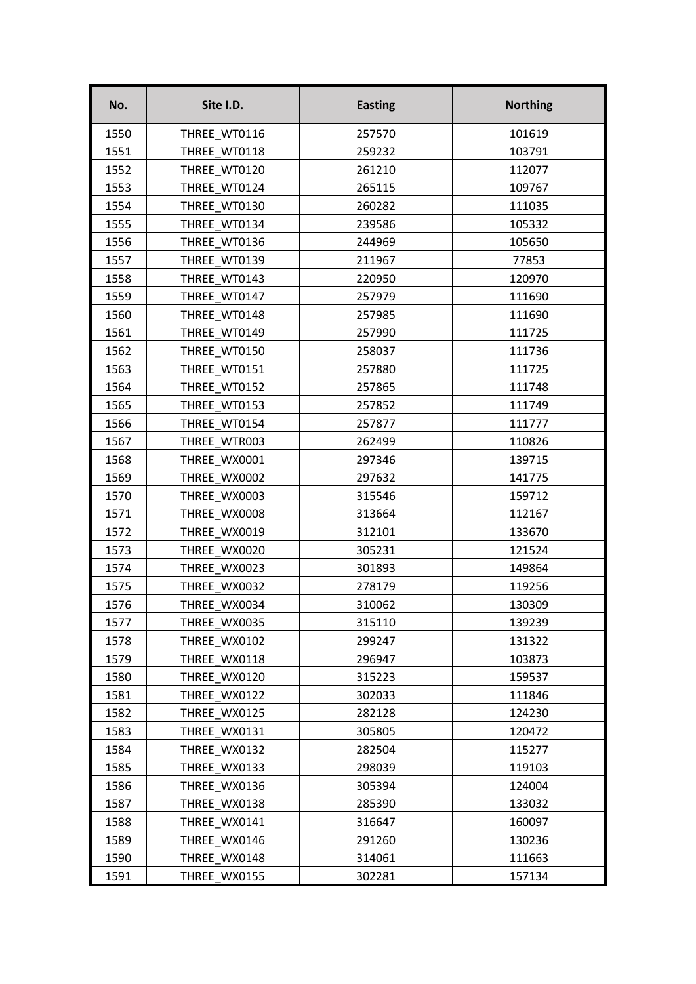| No.  | Site I.D.    | <b>Easting</b> | <b>Northing</b> |
|------|--------------|----------------|-----------------|
| 1550 | THREE WT0116 | 257570         | 101619          |
| 1551 | THREE WT0118 | 259232         | 103791          |
| 1552 | THREE WT0120 | 261210         | 112077          |
| 1553 | THREE WT0124 | 265115         | 109767          |
| 1554 | THREE WT0130 | 260282         | 111035          |
| 1555 | THREE WT0134 | 239586         | 105332          |
| 1556 | THREE WT0136 | 244969         | 105650          |
| 1557 | THREE WT0139 | 211967         | 77853           |
| 1558 | THREE WT0143 | 220950         | 120970          |
| 1559 | THREE WT0147 | 257979         | 111690          |
| 1560 | THREE WT0148 | 257985         | 111690          |
| 1561 | THREE WT0149 | 257990         | 111725          |
| 1562 | THREE WT0150 | 258037         | 111736          |
| 1563 | THREE WT0151 | 257880         | 111725          |
| 1564 | THREE WT0152 | 257865         | 111748          |
| 1565 | THREE WT0153 | 257852         | 111749          |
| 1566 | THREE WT0154 | 257877         | 111777          |
| 1567 | THREE_WTR003 | 262499         | 110826          |
| 1568 | THREE WX0001 | 297346         | 139715          |
| 1569 | THREE WX0002 | 297632         | 141775          |
| 1570 | THREE WX0003 | 315546         | 159712          |
| 1571 | THREE WX0008 | 313664         | 112167          |
| 1572 | THREE WX0019 | 312101         | 133670          |
| 1573 | THREE WX0020 | 305231         | 121524          |
| 1574 | THREE WX0023 | 301893         | 149864          |
| 1575 | THREE WX0032 | 278179         | 119256          |
| 1576 | THREE_WX0034 | 310062         | 130309          |
| 1577 | THREE WX0035 | 315110         | 139239          |
| 1578 | THREE WX0102 | 299247         | 131322          |
| 1579 | THREE WX0118 | 296947         | 103873          |
| 1580 | THREE WX0120 | 315223         | 159537          |
| 1581 | THREE WX0122 | 302033         | 111846          |
| 1582 | THREE WX0125 | 282128         | 124230          |
| 1583 | THREE WX0131 | 305805         | 120472          |
| 1584 | THREE WX0132 | 282504         | 115277          |
| 1585 | THREE WX0133 | 298039         | 119103          |
| 1586 | THREE WX0136 | 305394         | 124004          |
| 1587 | THREE WX0138 | 285390         | 133032          |
| 1588 | THREE WX0141 | 316647         | 160097          |
| 1589 | THREE WX0146 | 291260         | 130236          |
| 1590 | THREE WX0148 | 314061         | 111663          |
| 1591 | THREE WX0155 | 302281         | 157134          |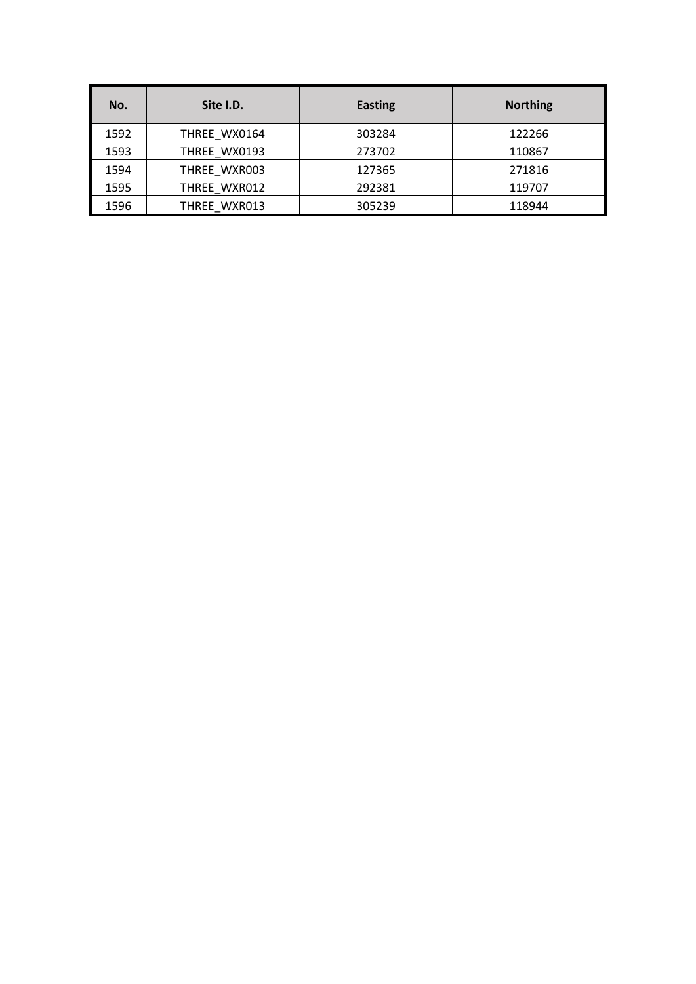| No.  | Site I.D.    | <b>Easting</b> | <b>Northing</b> |
|------|--------------|----------------|-----------------|
| 1592 | THREE WX0164 | 303284         | 122266          |
| 1593 | THREE WX0193 | 273702         | 110867          |
| 1594 | THREE WXR003 | 127365         | 271816          |
| 1595 | THREE WXR012 | 292381         | 119707          |
| 1596 | THREE WXR013 | 305239         | 118944          |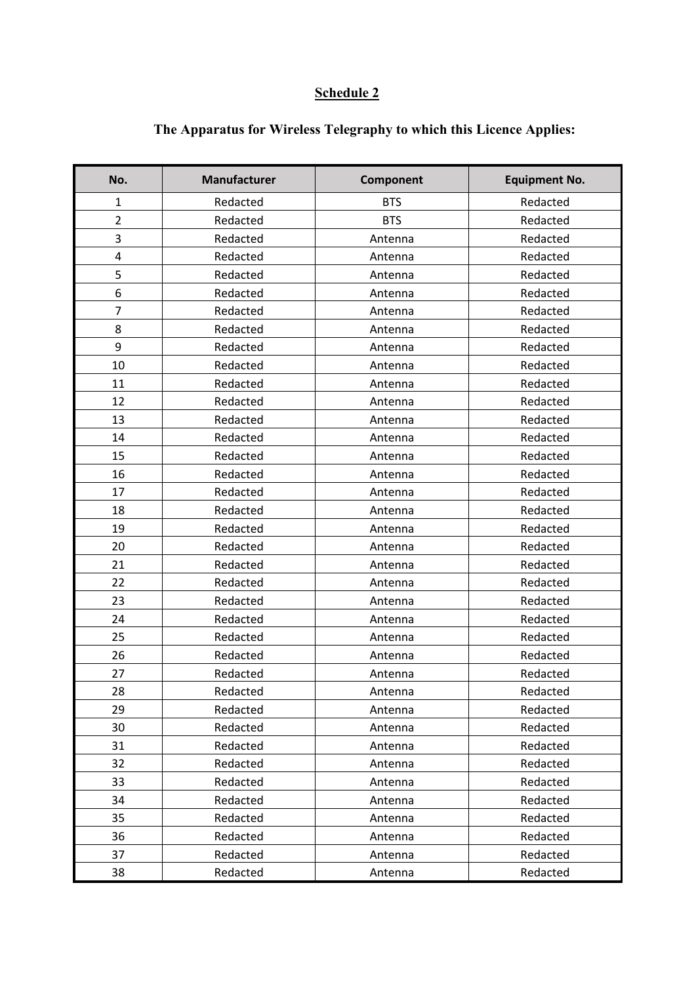## **Schedule 2**

| No.            | <b>Manufacturer</b> | Component  | <b>Equipment No.</b> |
|----------------|---------------------|------------|----------------------|
| $\mathbf 1$    | Redacted            | <b>BTS</b> | Redacted             |
| $\overline{2}$ | Redacted            | <b>BTS</b> | Redacted             |
| 3              | Redacted            | Antenna    | Redacted             |
| 4              | Redacted            | Antenna    | Redacted             |
| 5              | Redacted            | Antenna    | Redacted             |
| 6              | Redacted            | Antenna    | Redacted             |
| 7              | Redacted            | Antenna    | Redacted             |
| 8              | Redacted            | Antenna    | Redacted             |
| 9              | Redacted            | Antenna    | Redacted             |
| 10             | Redacted            | Antenna    | Redacted             |
| 11             | Redacted            | Antenna    | Redacted             |
| 12             | Redacted            | Antenna    | Redacted             |
| 13             | Redacted            | Antenna    | Redacted             |
| 14             | Redacted            | Antenna    | Redacted             |
| 15             | Redacted            | Antenna    | Redacted             |
| 16             | Redacted            | Antenna    | Redacted             |
| 17             | Redacted            | Antenna    | Redacted             |
| 18             | Redacted            | Antenna    | Redacted             |
| 19             | Redacted            | Antenna    | Redacted             |
| 20             | Redacted            | Antenna    | Redacted             |
| 21             | Redacted            | Antenna    | Redacted             |
| 22             | Redacted            | Antenna    | Redacted             |
| 23             | Redacted            | Antenna    | Redacted             |
| 24             | Redacted            | Antenna    | Redacted             |
| 25             | Redacted            | Antenna    | Redacted             |
| 26             | Redacted            | Antenna    | Redacted             |
| 27             | Redacted            | Antenna    | Redacted             |
| 28             | Redacted            | Antenna    | Redacted             |
| 29             | Redacted            | Antenna    | Redacted             |
| 30             | Redacted            | Antenna    | Redacted             |
| 31             | Redacted            | Antenna    | Redacted             |
| 32             | Redacted            | Antenna    | Redacted             |
| 33             | Redacted            | Antenna    | Redacted             |
| 34             | Redacted            | Antenna    | Redacted             |
| 35             | Redacted            | Antenna    | Redacted             |
| 36             | Redacted            | Antenna    | Redacted             |
| 37             | Redacted            | Antenna    | Redacted             |
| 38             | Redacted            | Antenna    | Redacted             |

## **The Apparatus for Wireless Telegraphy to which this Licence Applies:**